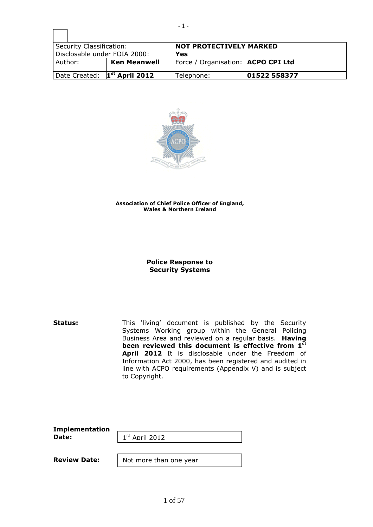| Security Classification:                 |  | <b>NOT PROTECTIVELY MARKED</b>       |              |  |
|------------------------------------------|--|--------------------------------------|--------------|--|
| Disclosable under FOIA 2000:             |  | Yes                                  |              |  |
| Author:<br><b>Ken Meanwell</b>           |  | Force / Organisation:   ACPO CPI Ltd |              |  |
| Date Created: 1 <sup>st</sup> April 2012 |  | Telephone:                           | 01522 558377 |  |



#### **Association of Chief Police Officer of England, Wales & Northern Ireland**

# **Police Response to Security Systems**

**Status:** This 'living' document is published by the Security Systems Working group within the General Policing Business Area and reviewed on a regular basis. **Having been reviewed this document is effective from 1 st** April 2012 It is disclosable under the Freedom of Information Act 2000, has been registered and audited in line with ACPO requirements (Appendix V) and is subject to Copyright.

| <b>Implementation</b> |                        |  |  |
|-----------------------|------------------------|--|--|
| Date:                 | $1st$ April 2012       |  |  |
|                       |                        |  |  |
| <b>Review Date:</b>   | Not more than one year |  |  |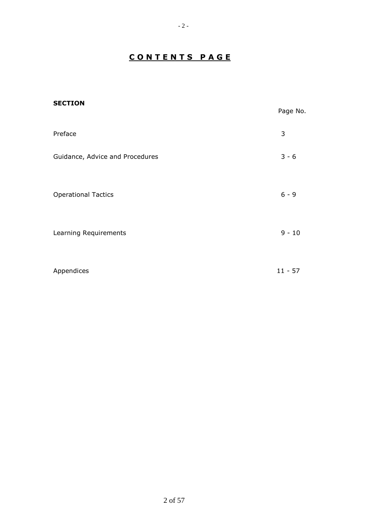# **C O N T E N T S P A G E**

| <b>SECTION</b>                  | Page No.  |
|---------------------------------|-----------|
| Preface                         | 3         |
| Guidance, Advice and Procedures | $3 - 6$   |
| <b>Operational Tactics</b>      | $6 - 9$   |
| Learning Requirements           | $9 - 10$  |
| Appendices                      | $11 - 57$ |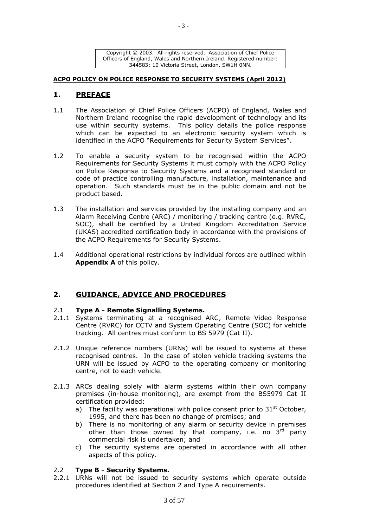Copyright © 2003. All rights reserved. Association of Chief Police Officers of England, Wales and Northern Ireland. Registered number: 344583: 10 Victoria Street, London. SW1H 0NN.

### **ACPO POLICY ON POLICE RESPONSE TO SECURITY SYSTEMS (April 2012)**

# **1. PREFACE**

- 1.1 The Association of Chief Police Officers (ACPO) of England, Wales and Northern Ireland recognise the rapid development of technology and its use within security systems. This policy details the police response which can be expected to an electronic security system which is identified in the ACPO "Requirements for Security System Services".
- 1.2 To enable a security system to be recognised within the ACPO Requirements for Security Systems it must comply with the ACPO Policy on Police Response to Security Systems and a recognised standard or code of practice controlling manufacture, installation, maintenance and operation. Such standards must be in the public domain and not be product based.
- 1.3 The installation and services provided by the installing company and an Alarm Receiving Centre (ARC) / monitoring / tracking centre (e.g. RVRC, SOC), shall be certified by a United Kingdom Accreditation Service (UKAS) accredited certification body in accordance with the provisions of the ACPO Requirements for Security Systems.
- 1.4 Additional operational restrictions by individual forces are outlined within **Appendix A** of this policy.

# **2. GUIDANCE, ADVICE AND PROCEDURES**

# 2.1 **Type A - Remote Signalling Systems.**

- 2.1.1 Systems terminating at a recognised ARC, Remote Video Response Centre (RVRC) for CCTV and System Operating Centre (SOC) for vehicle tracking. All centres must conform to BS 5979 (Cat II).
- 2.1.2 Unique reference numbers (URNs) will be issued to systems at these recognised centres. In the case of stolen vehicle tracking systems the URN will be issued by ACPO to the operating company or monitoring centre, not to each vehicle.
- 2.1.3 ARCs dealing solely with alarm systems within their own company premises (in-house monitoring), are exempt from the BS5979 Cat II certification provided:
	- a) The facility was operational with police consent prior to  $31<sup>st</sup>$  October, 1995, and there has been no change of premises; and
	- b) There is no monitoring of any alarm or security device in premises other than those owned by that company, i.e. no  $3<sup>rd</sup>$  party commercial risk is undertaken; and
	- c) The security systems are operated in accordance with all other aspects of this policy.

# 2.2 **Type B - Security Systems.**

2.2.1 URNs will not be issued to security systems which operate outside procedures identified at Section 2 and Type A requirements.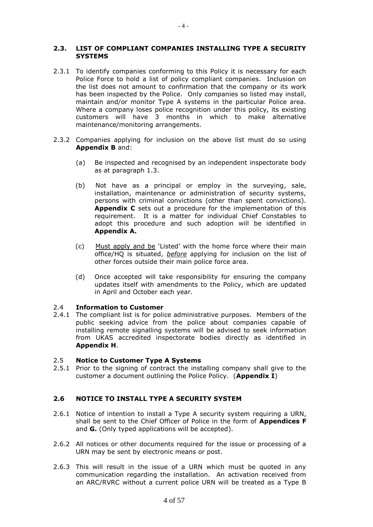# **2.3. LIST OF COMPLIANT COMPANIES INSTALLING TYPE A SECURITY SYSTEMS**

- 2.3.1 To identify companies conforming to this Policy it is necessary for each Police Force to hold a list of policy compliant companies. Inclusion on the list does not amount to confirmation that the company or its work has been inspected by the Police. Only companies so listed may install, maintain and/or monitor Type A systems in the particular Police area. Where a company loses police recognition under this policy, its existing customers will have 3 months in which to make alternative maintenance/monitoring arrangements.
- 2.3.2 Companies applying for inclusion on the above list must do so using **Appendix B** and:
	- (a) Be inspected and recognised by an independent inspectorate body as at paragraph 1.3.
	- (b) Not have as a principal or employ in the surveying, sale, installation, maintenance or administration of security systems, persons with criminal convictions (other than spent convictions). **Appendix C** sets out a procedure for the implementation of this requirement. It is a matter for individual Chief Constables to adopt this procedure and such adoption will be identified in **Appendix A.**
	- (c) Must apply and be 'Listed' with the home force where their main office/HQ is situated, *before* applying for inclusion on the list of other forces outside their main police force area.
	- (d) Once accepted will take responsibility for ensuring the company updates itself with amendments to the Policy, which are updated in April and October each year.

# 2.4 **Information to Customer**

2.4.1 The compliant list is for police administrative purposes. Members of the public seeking advice from the police about companies capable of installing remote signalling systems will be advised to seek information from UKAS accredited inspectorate bodies directly as identified in **Appendix H**.

# 2.5 **Notice to Customer Type A Systems**

2.5.1 Prior to the signing of contract the installing company shall give to the customer a document outlining the Police Policy. (**Appendix I**)

# **2.6 NOTICE TO INSTALL TYPE A SECURITY SYSTEM**

- 2.6.1 Notice of intention to install a Type A security system requiring a URN, shall be sent to the Chief Officer of Police in the form of **Appendices F** and **G.** (Only typed applications will be accepted).
- 2.6.2 All notices or other documents required for the issue or processing of a URN may be sent by electronic means or post.
- 2.6.3 This will result in the issue of a URN which must be quoted in any communication regarding the installation. An activation received from an ARC/RVRC without a current police URN will be treated as a Type B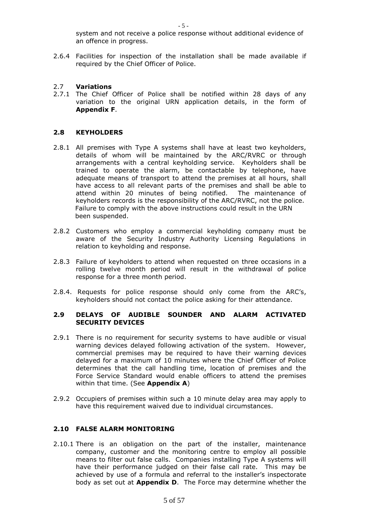system and not receive a police response without additional evidence of an offence in progress.

2.6.4 Facilities for inspection of the installation shall be made available if required by the Chief Officer of Police.

# 2.7 **Variations**

2.7.1 The Chief Officer of Police shall be notified within 28 days of any variation to the original URN application details, in the form of **Appendix F**.

# **2.8 KEYHOLDERS**

- 2.8.1 All premises with Type A systems shall have at least two keyholders, details of whom will be maintained by the ARC/RVRC or through arrangements with a central keyholding service. Keyholders shall be trained to operate the alarm, be contactable by telephone, have adequate means of transport to attend the premises at all hours, shall have access to all relevant parts of the premises and shall be able to attend within 20 minutes of being notified. The maintenance of keyholders records is the responsibility of the ARC/RVRC, not the police. Failure to comply with the above instructions could result in the URN been suspended.
- 2.8.2 Customers who employ a commercial keyholding company must be aware of the Security Industry Authority Licensing Regulations in relation to keyholding and response.
- 2.8.3 Failure of keyholders to attend when requested on three occasions in a rolling twelve month period will result in the withdrawal of police response for a three month period.
- 2.8.4. Requests for police response should only come from the ARC's, keyholders should not contact the police asking for their attendance.

# **2.9 DELAYS OF AUDIBLE SOUNDER AND ALARM ACTIVATED SECURITY DEVICES**

- 2.9.1 There is no requirement for security systems to have audible or visual warning devices delayed following activation of the system. However, commercial premises may be required to have their warning devices delayed for a maximum of 10 minutes where the Chief Officer of Police determines that the call handling time, location of premises and the Force Service Standard would enable officers to attend the premises within that time. (See **Appendix A**)
- 2.9.2 Occupiers of premises within such a 10 minute delay area may apply to have this requirement waived due to individual circumstances.

### **2.10 FALSE ALARM MONITORING**

2.10.1 There is an obligation on the part of the installer, maintenance company, customer and the monitoring centre to employ all possible means to filter out false calls. Companies installing Type A systems will have their performance judged on their false call rate. This may be achieved by use of a formula and referral to the installer's inspectorate body as set out at **Appendix D**. The Force may determine whether the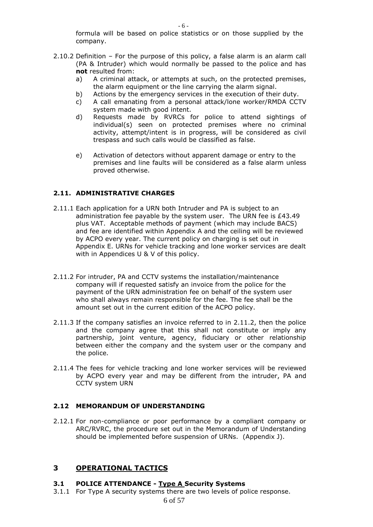formula will be based on police statistics or on those supplied by the company.

- 2.10.2 Definition For the purpose of this policy, a false alarm is an alarm call (PA & Intruder) which would normally be passed to the police and has **not** resulted from:
	- a) A criminal attack, or attempts at such, on the protected premises, the alarm equipment or the line carrying the alarm signal.
	- b) Actions by the emergency services in the execution of their duty.
	- c) A call emanating from a personal attack/lone worker/RMDA CCTV system made with good intent.
	- d) Requests made by RVRCs for police to attend sightings of individual(s) seen on protected premises where no criminal activity, attempt/intent is in progress, will be considered as civil trespass and such calls would be classified as false.
	- e) Activation of detectors without apparent damage or entry to the premises and line faults will be considered as a false alarm unless proved otherwise.

# **2.11. ADMINISTRATIVE CHARGES**

- 2.11.1 Each application for a URN both Intruder and PA is subject to an administration fee payable by the system user. The URN fee is £43.49 plus VAT. Acceptable methods of payment (which may include BACS) and fee are identified within Appendix A and the ceiling will be reviewed by ACPO every year. The current policy on charging is set out in Appendix E. URNs for vehicle tracking and lone worker services are dealt with in Appendices U & V of this policy.
- 2.11.2 For intruder, PA and CCTV systems the installation/maintenance company will if requested satisfy an invoice from the police for the payment of the URN administration fee on behalf of the system user who shall always remain responsible for the fee. The fee shall be the amount set out in the current edition of the ACPO policy.
- 2.11.3 If the company satisfies an invoice referred to in 2.11.2, then the police and the company agree that this shall not constitute or imply any partnership, joint venture, agency, fiduciary or other relationship between either the company and the system user or the company and the police.
- 2.11.4 The fees for vehicle tracking and lone worker services will be reviewed by ACPO every year and may be different from the intruder, PA and CCTV system URN

# **2.12 MEMORANDUM OF UNDERSTANDING**

2.12.1 For non-compliance or poor performance by a compliant company or ARC/RVRC, the procedure set out in the Memorandum of Understanding should be implemented before suspension of URNs. (Appendix J).

# **3 OPERATIONAL TACTICS**

# **3.1 POLICE ATTENDANCE - Type A Security Systems**

3.1.1 For Type A security systems there are two levels of police response.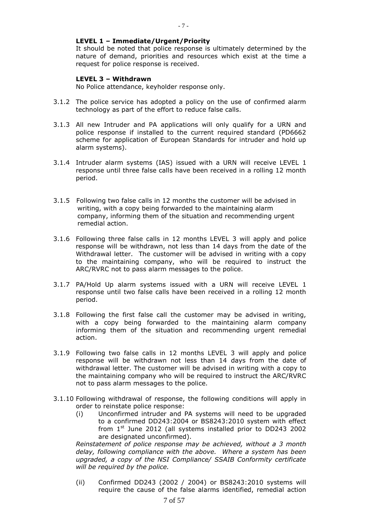# **LEVEL 1 – Immediate/Urgent/Priority**

It should be noted that police response is ultimately determined by the nature of demand, priorities and resources which exist at the time a request for police response is received.

# **LEVEL 3 – Withdrawn**

No Police attendance, keyholder response only.

- 3.1.2 The police service has adopted a policy on the use of confirmed alarm technology as part of the effort to reduce false calls.
- 3.1.3 All new Intruder and PA applications will only qualify for a URN and police response if installed to the current required standard (PD6662 scheme for application of European Standards for intruder and hold up alarm systems).
- 3.1.4 Intruder alarm systems (IAS) issued with a URN will receive LEVEL 1 response until three false calls have been received in a rolling 12 month period.
- 3.1.5 Following two false calls in 12 months the customer will be advised in writing, with a copy being forwarded to the maintaining alarm company, informing them of the situation and recommending urgent remedial action.
- 3.1.6 Following three false calls in 12 months LEVEL 3 will apply and police response will be withdrawn, not less than 14 days from the date of the Withdrawal letter. The customer will be advised in writing with a copy to the maintaining company, who will be required to instruct the ARC/RVRC not to pass alarm messages to the police.
- 3.1.7 PA/Hold Up alarm systems issued with a URN will receive LEVEL 1 response until two false calls have been received in a rolling 12 month period.
- 3.1.8 Following the first false call the customer may be advised in writing, with a copy being forwarded to the maintaining alarm company informing them of the situation and recommending urgent remedial action.
- 3.1.9 Following two false calls in 12 months LEVEL 3 will apply and police response will be withdrawn not less than 14 days from the date of withdrawal letter. The customer will be advised in writing with a copy to the maintaining company who will be required to instruct the ARC/RVRC not to pass alarm messages to the police.
- 3.1.10 Following withdrawal of response, the following conditions will apply in order to reinstate police response:
	- (i) Unconfirmed intruder and PA systems will need to be upgraded to a confirmed DD243:2004 or BS8243:2010 system with effect from  $1<sup>st</sup>$  June 2012 (all systems installed prior to DD243 2002 are designated unconfirmed).

*Reinstatement of police response may be achieved, without a 3 month delay, following compliance with the above. Where a system has been upgraded, a copy of the NSI Compliance/ SSAIB Conformity certificate will be required by the police.*

(ii) Confirmed DD243 (2002 / 2004) or BS8243:2010 systems will require the cause of the false alarms identified, remedial action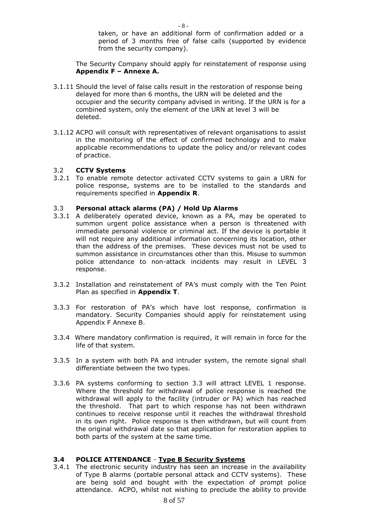taken, or have an additional form of confirmation added or a period of 3 months free of false calls (supported by evidence from the security company).

The Security Company should apply for reinstatement of response using **Appendix F – Annexe A.**

- 3.1.11 Should the level of false calls result in the restoration of response being delayed for more than 6 months, the URN will be deleted and the occupier and the security company advised in writing. If the URN is for a combined system, only the element of the URN at level 3 will be deleted.
- 3.1.12 ACPO will consult with representatives of relevant organisations to assist in the monitoring of the effect of confirmed technology and to make applicable recommendations to update the policy and/or relevant codes of practice.

# 3.2 **CCTV Systems**

3.2.1 To enable remote detector activated CCTV systems to gain a URN for police response, systems are to be installed to the standards and requirements specified in **Appendix R**.

### 3.3 **Personal attack alarms (PA) / Hold Up Alarms**

- 3.3.1 A deliberately operated device, known as a PA, may be operated to summon urgent police assistance when a person is threatened with immediate personal violence or criminal act. If the device is portable it will not require any additional information concerning its location, other than the address of the premises. These devices must not be used to summon assistance in circumstances other than this. Misuse to summon police attendance to non-attack incidents may result in LEVEL 3 response.
- 3.3.2 Installation and reinstatement of PA's must comply with the Ten Point Plan as specified in **Appendix T**.
- 3.3.3 For restoration of PA's which have lost response, confirmation is mandatory. Security Companies should apply for reinstatement using Appendix F Annexe B.
- 3.3.4 Where mandatory confirmation is required, it will remain in force for the life of that system.
- 3.3.5 In a system with both PA and intruder system, the remote signal shall differentiate between the two types.
- 3.3.6 PA systems conforming to section 3.3 will attract LEVEL 1 response. Where the threshold for withdrawal of police response is reached the withdrawal will apply to the facility (intruder or PA) which has reached the threshold. That part to which response has not been withdrawn continues to receive response until it reaches the withdrawal threshold in its own right. Police response is then withdrawn, but will count from the original withdrawal date so that application for restoration applies to both parts of the system at the same time.

# **3.4 POLICE ATTENDANCE** - **Type B Security Systems**

3.4.1 The electronic security industry has seen an increase in the availability of Type B alarms (portable personal attack and CCTV systems). These are being sold and bought with the expectation of prompt police attendance. ACPO, whilst not wishing to preclude the ability to provide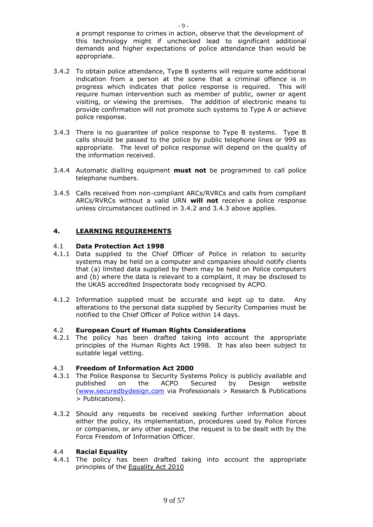a prompt response to crimes in action, observe that the development of this technology might if unchecked lead to significant additional demands and higher expectations of police attendance than would be appropriate.

- 3.4.2 To obtain police attendance, Type B systems will require some additional indication from a person at the scene that a criminal offence is in progress which indicates that police response is required. This will require human intervention such as member of public, owner or agent visiting, or viewing the premises. The addition of electronic means to provide confirmation will not promote such systems to Type A or achieve police response.
- 3.4.3 There is no guarantee of police response to Type B systems. Type B calls should be passed to the police by public telephone lines or 999 as appropriate. The level of police response will depend on the quality of the information received.
- 3.4.4 Automatic dialling equipment **must not** be programmed to call police telephone numbers.
- 3.4.5 Calls received from non-compliant ARCs/RVRCs and calls from compliant ARCs/RVRCs without a valid URN **will not** receive a police response unless circumstances outlined in 3.4.2 and 3.4.3 above applies.

# **4. LEARNING REQUIREMENTS**

# 4.1 **Data Protection Act 1998**

- 4.1.1 Data supplied to the Chief Officer of Police in relation to security systems may be held on a computer and companies should notify clients that (a) limited data supplied by them may be held on Police computers and (b) where the data is relevant to a complaint, it may be disclosed to the UKAS accredited Inspectorate body recognised by ACPO.
- 4.1.2 Information supplied must be accurate and kept up to date. Any alterations to the personal data supplied by Security Companies must be notified to the Chief Officer of Police within 14 days.

# 4.2 **European Court of Human Rights Considerations**

4.2.1 The policy has been drafted taking into account the appropriate principles of the Human Rights Act 1998. It has also been subject to suitable legal vetting.

# 4.3 **Freedom of Information Act 2000**

- 4.3.1 The Police Response to Security Systems Policy is publicly available and published on the ACPO Secured by Design website [\(www.securedbydesign.com](http://www.securedbydesign.com/) via Professionals > Research & Publications > Publications).
- 4.3.2 Should any requests be received seeking further information about either the policy, its implementation, procedures used by Police Forces or companies, or any other aspect, the request is to be dealt with by the Force Freedom of Information Officer.

# 4.4 **Racial Equality**

4.4.1 The policy has been drafted taking into account the appropriate principles of the Equality Act 2010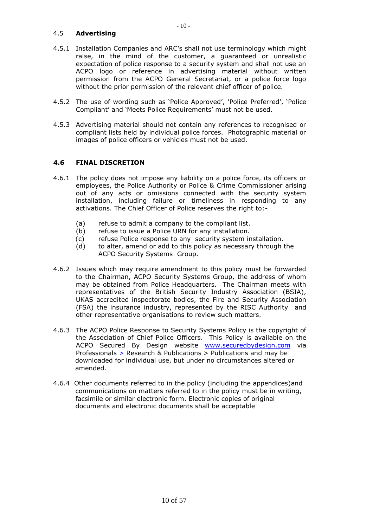# 4.5 **Advertising**

- 4.5.1 Installation Companies and ARC's shall not use terminology which might raise, in the mind of the customer, a guaranteed or unrealistic expectation of police response to a security system and shall not use an ACPO logo or reference in advertising material without written permission from the ACPO General Secretariat, or a police force logo without the prior permission of the relevant chief officer of police.
- 4.5.2 The use of wording such as 'Police Approved', 'Police Preferred', 'Police Compliant' and 'Meets Police Requirements' must not be used.
- 4.5.3 Advertising material should not contain any references to recognised or compliant lists held by individual police forces. Photographic material or images of police officers or vehicles must not be used.

# **4.6 FINAL DISCRETION**

- 4.6.1 The policy does not impose any liability on a police force, its officers or employees, the Police Authority or Police & Crime Commissioner arising out of any acts or omissions connected with the security system installation, including failure or timeliness in responding to any activations. The Chief Officer of Police reserves the right to:-
	- (a) refuse to admit a company to the compliant list.
	- (b) refuse to issue a Police URN for any installation.
	- (c) refuse Police response to any security system installation.
	- (d) to alter, amend or add to this policy as necessary through the ACPO Security Systems Group.
- 4.6.2 Issues which may require amendment to this policy must be forwarded to the Chairman, ACPO Security Systems Group, the address of whom may be obtained from Police Headquarters. The Chairman meets with representatives of the British Security Industry Association (BSIA), UKAS accredited inspectorate bodies, the Fire and Security Association (FSA) the insurance industry, represented by the RISC Authority and other representative organisations to review such matters.
- 4.6.3 The ACPO Police Response to Security Systems Policy is the copyright of the Association of Chief Police Officers. This Policy is available on the ACPO Secured By Design website [www.securedbydesign.com](http://www.securedbydesign.com/) via Professionals > Research & Publications > Publications and may be downloaded for individual use, but under no circumstances altered or amended.
- 4.6.4 Other documents referred to in the policy (including the appendices)and communications on matters referred to in the policy must be in writing, facsimile or similar electronic form. Electronic copies of original documents and electronic documents shall be acceptable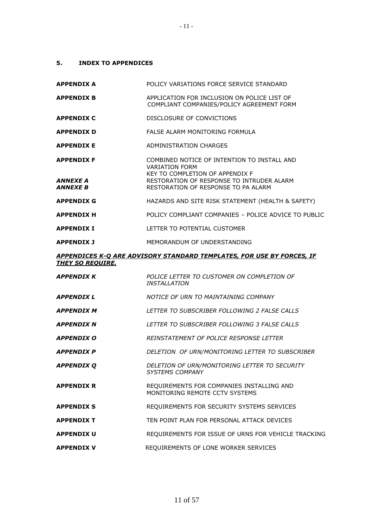# **5. INDEX TO APPENDICES**

| <b>APPENDIX A</b>                                       | POLICY VARIATIONS FORCE SERVICE STANDARD                                                                                                                                                    |
|---------------------------------------------------------|---------------------------------------------------------------------------------------------------------------------------------------------------------------------------------------------|
| <b>APPENDIX B</b>                                       | APPLICATION FOR INCLUSION ON POLICE LIST OF<br>COMPLIANT COMPANIES/POLICY AGREEMENT FORM                                                                                                    |
| <b>APPENDIX C</b>                                       | DISCLOSURE OF CONVICTIONS                                                                                                                                                                   |
| <b>APPENDIX D</b>                                       | FALSE ALARM MONITORING FORMULA                                                                                                                                                              |
| <b>APPENDIX E</b>                                       | ADMINISTRATION CHARGES                                                                                                                                                                      |
| <b>APPENDIX F</b><br>ANNEXE A<br><i><b>ANNEXE B</b></i> | COMBINED NOTICE OF INTENTION TO INSTALL AND<br><b>VARIATION FORM</b><br>KEY TO COMPLETION OF APPENDIX F<br>RESTORATION OF RESPONSE TO INTRUDER ALARM<br>RESTORATION OF RESPONSE TO PA ALARM |
| <b>APPENDIX G</b>                                       | HAZARDS AND SITE RISK STATEMENT (HEALTH & SAFETY)                                                                                                                                           |
| <b>APPENDIX H</b>                                       | POLICY COMPLIANT COMPANIES - POLICE ADVICE TO PUBLIC                                                                                                                                        |
| <b>APPENDIX I</b>                                       | LETTER TO POTENTIAL CUSTOMER                                                                                                                                                                |
| <b>APPENDIX J</b>                                       | MEMORANDUM OF UNDERSTANDING                                                                                                                                                                 |
| <b>THEY SO REQUIRE.</b>                                 | APPENDICES K-O ARE ADVISORY STANDARD TEMPLATES, FOR USE BY FORCES, IF                                                                                                                       |
| <b>APPENDIX K</b>                                       | POLICE LETTER TO CUSTOMER ON COMPLETION OF<br><b>INSTALLATION</b>                                                                                                                           |
| <i><b>APPENDIX L</b></i>                                | NOTICE OF URN TO MAINTAINING COMPANY                                                                                                                                                        |
| <b>APPENDIX M</b>                                       | LETTER TO SUBSCRIBER FOLLOWING 2 FALSE CALLS                                                                                                                                                |
| <i><b>APPENDIX N</b></i>                                | LETTER TO SUBSCRIBER FOLLOWING 3 FALSE CALLS                                                                                                                                                |
| <b>APPENDIX O</b>                                       | <b>REINSTATEMENT OF POLICE RESPONSE LETTER</b>                                                                                                                                              |
| <b>APPENDIX P</b>                                       | DELETION OF URN/MONITORING LETTER TO SUBSCRIBER                                                                                                                                             |
| <b>APPENDIX Q</b>                                       | DELETION OF URN/MONITORING LETTER TO SECURITY<br><b>SYSTEMS COMPANY</b>                                                                                                                     |
| <b>APPENDIX R</b>                                       | REQUIREMENTS FOR COMPANIES INSTALLING AND<br>MONITORING REMOTE CCTV SYSTEMS                                                                                                                 |
| <b>APPENDIX S</b>                                       | REQUIREMENTS FOR SECURITY SYSTEMS SERVICES                                                                                                                                                  |
| <b>APPENDIX T</b>                                       | TEN POINT PLAN FOR PERSONAL ATTACK DEVICES                                                                                                                                                  |
| <b>APPENDIX U</b>                                       | REQUIREMENTS FOR ISSUE OF URNS FOR VEHICLE TRACKING                                                                                                                                         |
| <b>APPENDIX V</b>                                       | REQUIREMENTS OF LONE WORKER SERVICES                                                                                                                                                        |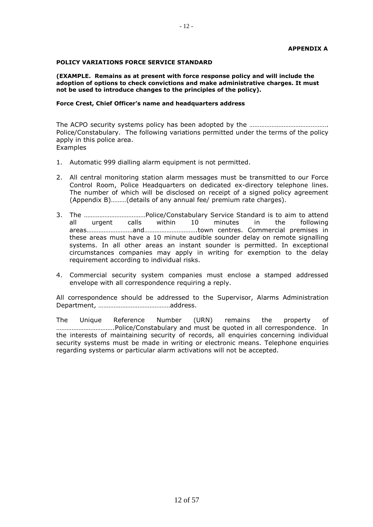### **POLICY VARIATIONS FORCE SERVICE STANDARD**

**(EXAMPLE. Remains as at present with force response policy and will include the adoption of options to check convictions and make administrative charges. It must not be used to introduce changes to the principles of the policy).**

### **Force Crest, Chief Officer's name and headquarters address**

The ACPO security systems policy has been adopted by the ………………………………………. Police/Constabulary. The following variations permitted under the terms of the policy apply in this police area. **Examples** 

- 1. Automatic 999 dialling alarm equipment is not permitted.
- 2. All central monitoring station alarm messages must be transmitted to our Force Control Room, Police Headquarters on dedicated ex-directory telephone lines. The number of which will be disclosed on receipt of a signed policy agreement (Appendix B)………(details of any annual fee/ premium rate charges).
- 3. The ………………………………Police/Constabulary Service Standard is to aim to attend all urgent calls within 10 minutes in the following areas………………………and………………………….town centres. Commercial premises in these areas must have a 10 minute audible sounder delay on remote signalling systems. In all other areas an instant sounder is permitted. In exceptional circumstances companies may apply in writing for exemption to the delay requirement according to individual risks.
- 4. Commercial security system companies must enclose a stamped addressed envelope with all correspondence requiring a reply.

All correspondence should be addressed to the Supervisor, Alarms Administration Department, ……………………………………address.

The Unique Reference Number (URN) remains the property of …………………………….Police/Constabulary and must be quoted in all correspondence. In the interests of maintaining security of records, all enquiries concerning individual security systems must be made in writing or electronic means. Telephone enquiries regarding systems or particular alarm activations will not be accepted.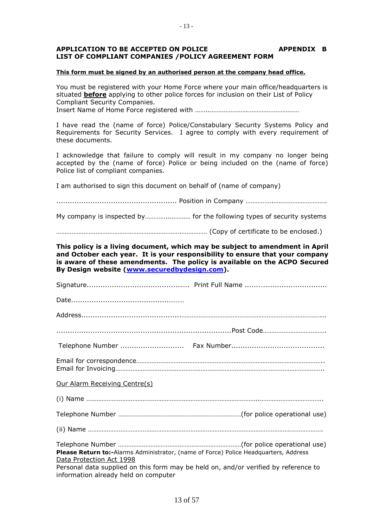# APPLICATION TO BE ACCEPTED ON POLICE **APPENDIX B LIST OF COMPLIANT COMPANIES /POLICY AGREEMENT FORM**

### **This form must be signed by an authorised person at the company head office.**

You must be registered with your Home Force where your main office/headquarters is situated **before** applying to other police forces for inclusion on their List of Policy Compliant Security Companies.

Insert Name of Home Force registered with ……..………………….…………………………

I have read the (name of force) Police/Constabulary Security Systems Policy and Requirements for Security Services. I agree to comply with every requirement of these documents.

I acknowledge that failure to comply will result in my company no longer being accepted by the (name of force) Police or being included on the (name of force) Police list of compliant companies.

I am authorised to sign this document on behalf of (name of company)

..................................................... Position in Company …………….………………………….

My company is inspected by…………..………… for the following types of security systems

……………………………………………………………….…………… (Copy of certificate to be enclosed.)

**This policy is a living document, which may be subject to amendment in April and October each year. It is your responsibility to ensure that your company is aware of these amendments. The policy is available on the ACPO Secured By Design website [\(www.securedbydesign.com\)](http://www.securedbydesign.com/).**

| <b>Our Alarm Receiving Centre(s)</b>                                                                                        |  |
|-----------------------------------------------------------------------------------------------------------------------------|--|
|                                                                                                                             |  |
|                                                                                                                             |  |
|                                                                                                                             |  |
| Please Return to:-Alarms Administrator, (name of Force) Police Headquarters, Address<br>Data Protection Act 1998            |  |
| Personal data supplied on this form may be held on, and/or verified by reference to<br>information already held on computer |  |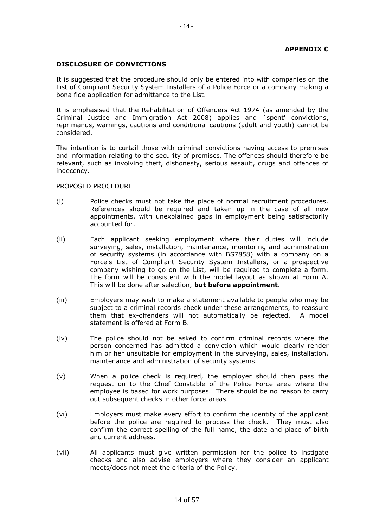# **APPENDIX C**

# **DISCLOSURE OF CONVICTIONS**

It is suggested that the procedure should only be entered into with companies on the List of Compliant Security System Installers of a Police Force or a company making a bona fide application for admittance to the List.

It is emphasised that the Rehabilitation of Offenders Act 1974 (as amended by the Criminal Justice and Immigration Act 2008) applies and `spent' convictions, reprimands, warnings, cautions and conditional cautions (adult and youth) cannot be considered.

The intention is to curtail those with criminal convictions having access to premises and information relating to the security of premises. The offences should therefore be relevant, such as involving theft, dishonesty, serious assault, drugs and offences of indecency.

### PROPOSED PROCEDURE

- (i) Police checks must not take the place of normal recruitment procedures. References should be required and taken up in the case of all new appointments, with unexplained gaps in employment being satisfactorily accounted for.
- (ii) Each applicant seeking employment where their duties will include surveying, sales, installation, maintenance, monitoring and administration of security systems (in accordance with BS7858) with a company on a Force's List of Compliant Security System Installers, or a prospective company wishing to go on the List, will be required to complete a form. The form will be consistent with the model layout as shown at Form A. This will be done after selection, **but before appointment**.
- (iii) Employers may wish to make a statement available to people who may be subject to a criminal records check under these arrangements, to reassure them that ex-offenders will not automatically be rejected. A model statement is offered at Form B.
- (iv) The police should not be asked to confirm criminal records where the person concerned has admitted a conviction which would clearly render him or her unsuitable for employment in the surveying, sales, installation, maintenance and administration of security systems.
- (v) When a police check is required, the employer should then pass the request on to the Chief Constable of the Police Force area where the employee is based for work purposes. There should be no reason to carry out subsequent checks in other force areas.
- (vi) Employers must make every effort to confirm the identity of the applicant before the police are required to process the check. They must also confirm the correct spelling of the full name, the date and place of birth and current address.
- (vii) All applicants must give written permission for the police to instigate checks and also advise employers where they consider an applicant meets/does not meet the criteria of the Policy.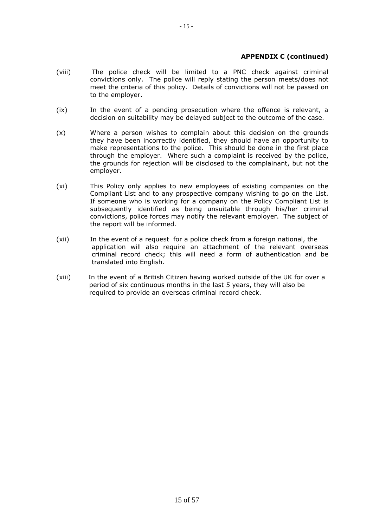# **APPENDIX C (continued)**

- (viii) The police check will be limited to a PNC check against criminal convictions only. The police will reply stating the person meets/does not meet the criteria of this policy. Details of convictions will not be passed on to the employer.
- (ix) In the event of a pending prosecution where the offence is relevant, a decision on suitability may be delayed subject to the outcome of the case.
- (x) Where a person wishes to complain about this decision on the grounds they have been incorrectly identified, they should have an opportunity to make representations to the police. This should be done in the first place through the employer. Where such a complaint is received by the police, the grounds for rejection will be disclosed to the complainant, but not the employer.
- (xi) This Policy only applies to new employees of existing companies on the Compliant List and to any prospective company wishing to go on the List. If someone who is working for a company on the Policy Compliant List is subsequently identified as being unsuitable through his/her criminal convictions, police forces may notify the relevant employer. The subject of the report will be informed.
- (xii) In the event of a request for a police check from a foreign national, the application will also require an attachment of the relevant overseas criminal record check; this will need a form of authentication and be translated into English.
- (xiii) In the event of a British Citizen having worked outside of the UK for over a period of six continuous months in the last 5 years, they will also be required to provide an overseas criminal record check.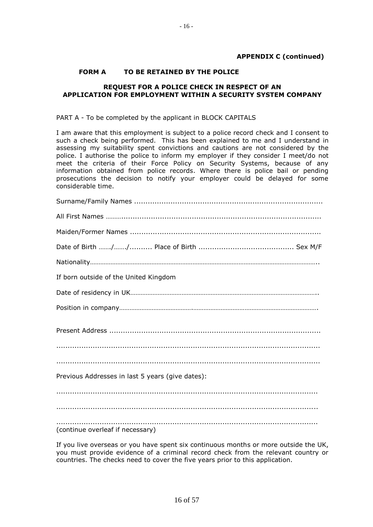# **APPENDIX C (continued)**

# **FORM A TO BE RETAINED BY THE POLICE**

# **REQUEST FOR A POLICE CHECK IN RESPECT OF AN APPLICATION FOR EMPLOYMENT WITHIN A SECURITY SYSTEM COMPANY**

### PART A - To be completed by the applicant in BLOCK CAPITALS

I am aware that this employment is subject to a police record check and I consent to such a check being performed. This has been explained to me and I understand in assessing my suitability spent convictions and cautions are not considered by the police. I authorise the police to inform my employer if they consider I meet/do not meet the criteria of their Force Policy on Security Systems, because of any information obtained from police records. Where there is police bail or pending prosecutions the decision to notify your employer could be delayed for some considerable time.

| If born outside of the United Kingdom            |
|--------------------------------------------------|
|                                                  |
|                                                  |
|                                                  |
|                                                  |
|                                                  |
| Previous Addresses in last 5 years (give dates): |
|                                                  |
|                                                  |
| (continue overleaf if necessary)                 |

If you live overseas or you have spent six continuous months or more outside the UK, you must provide evidence of a criminal record check from the relevant country or countries. The checks need to cover the five years prior to this application.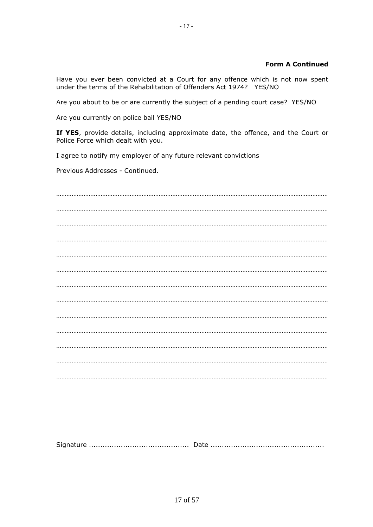# **Form A Continued**

Have you ever been convicted at a Court for any offence which is not now spent under the terms of the Rehabilitation of Offenders Act 1974? YES/NO

Are you about to be or are currently the subject of a pending court case? YES/NO

Are you currently on police bail YES/NO

**If YES**, provide details, including approximate date, the offence, and the Court or Police Force which dealt with you.

I agree to notify my employer of any future relevant convictions

Previous Addresses - Continued.

Signature ............................................ Date ..................................................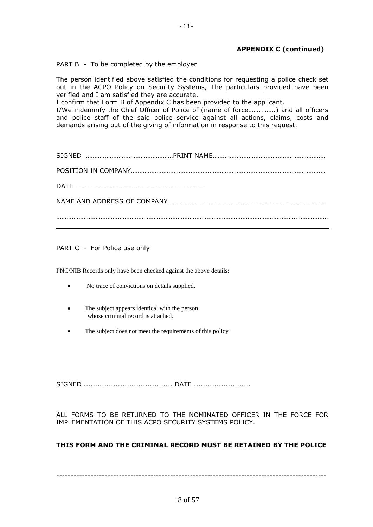# **APPENDIX C (continued)**

PART B - To be completed by the employer

The person identified above satisfied the conditions for requesting a police check set out in the ACPO Policy on Security Systems, The particulars provided have been verified and I am satisfied they are accurate.

I confirm that Form B of Appendix C has been provided to the applicant.

I/We indemnify the Chief Officer of Police of (name of force……..…….) and all officers and police staff of the said police service against all actions, claims, costs and demands arising out of the giving of information in response to this request.

| DATE |  |
|------|--|
|      |  |
|      |  |

PART C - For Police use only

PNC/NIB Records only have been checked against the above details:

- No trace of convictions on details supplied.
- The subject appears identical with the person whose criminal record is attached.
- The subject does not meet the requirements of this policy

SIGNED ....................................... DATE .........................

ALL FORMS TO BE RETURNED TO THE NOMINATED OFFICER IN THE FORCE FOR IMPLEMENTATION OF THIS ACPO SECURITY SYSTEMS POLICY.

# **THIS FORM AND THE CRIMINAL RECORD MUST BE RETAINED BY THE POLICE**

-----------------------------------------------------------------------------------------------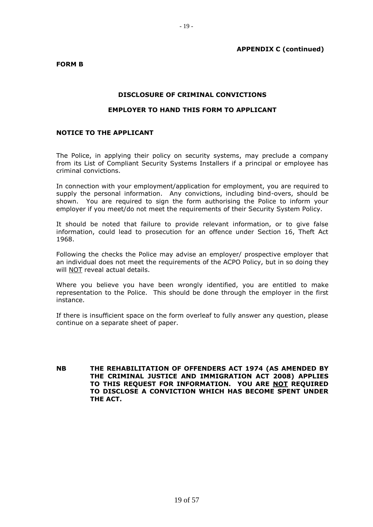# **APPENDIX C (continued)**

**FORM B**

# **DISCLOSURE OF CRIMINAL CONVICTIONS**

# **EMPLOYER TO HAND THIS FORM TO APPLICANT**

# **NOTICE TO THE APPLICANT**

The Police, in applying their policy on security systems, may preclude a company from its List of Compliant Security Systems Installers if a principal or employee has criminal convictions.

In connection with your employment/application for employment, you are required to supply the personal information. Any convictions, including bind-overs, should be shown. You are required to sign the form authorising the Police to inform your employer if you meet/do not meet the requirements of their Security System Policy.

It should be noted that failure to provide relevant information, or to give false information, could lead to prosecution for an offence under Section 16, Theft Act 1968.

Following the checks the Police may advise an employer/ prospective employer that an individual does not meet the requirements of the ACPO Policy, but in so doing they will NOT reveal actual details.

Where you believe you have been wrongly identified, you are entitled to make representation to the Police. This should be done through the employer in the first instance.

If there is insufficient space on the form overleaf to fully answer any question, please continue on a separate sheet of paper.

**NB THE REHABILITATION OF OFFENDERS ACT 1974 (AS AMENDED BY THE CRIMINAL JUSTICE AND IMMIGRATION ACT 2008) APPLIES TO THIS REQUEST FOR INFORMATION. YOU ARE NOT REQUIRED TO DISCLOSE A CONVICTION WHICH HAS BECOME SPENT UNDER THE ACT.**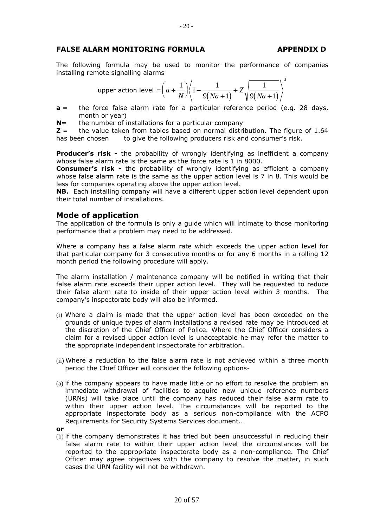# **FALSE ALARM MONITORING FORMULA APPENDIX D**

The following formula may be used to monitor the performance of companies installing remote signalling alarms

upper action level = 
$$
\left(a + \frac{1}{N}\right)\left(1 - \frac{1}{9(Na+1)} + Z\sqrt{\frac{1}{9(Na+1)}}\right)^3
$$

- **a** = the force false alarm rate for a particular reference period (e.g. 28 days, month or year)
- **N**= the number of installations for a particular company

**Z** = the value taken from tables based on normal distribution. The figure of 1.64 has been chosen to give the following producers risk and consumer's risk.

**Producer's risk -** the probability of wrongly identifying as inefficient a company whose false alarm rate is the same as the force rate is 1 in 8000.

**Consumer's risk -** the probability of wrongly identifying as efficient a company whose false alarm rate is the same as the upper action level is 7 in 8. This would be less for companies operating above the upper action level.

**NB.** Each installing company will have a different upper action level dependent upon their total number of installations.

# **Mode of application**

The application of the formula is only a guide which will intimate to those monitoring performance that a problem may need to be addressed.

Where a company has a false alarm rate which exceeds the upper action level for that particular company for 3 consecutive months or for any 6 months in a rolling 12 month period the following procedure will apply.

The alarm installation / maintenance company will be notified in writing that their false alarm rate exceeds their upper action level. They will be requested to reduce their false alarm rate to inside of their upper action level within 3 months. The company's inspectorate body will also be informed.

- (i) Where a claim is made that the upper action level has been exceeded on the grounds of unique types of alarm installations a revised rate may be introduced at the discretion of the Chief Officer of Police. Where the Chief Officer considers a claim for a revised upper action level is unacceptable he may refer the matter to the appropriate independent inspectorate for arbitration.
- (ii) Where a reduction to the false alarm rate is not achieved within a three month period the Chief Officer will consider the following options-
- (a) if the company appears to have made little or no effort to resolve the problem an immediate withdrawal of facilities to acquire new unique reference numbers (URNs) will take place until the company has reduced their false alarm rate to within their upper action level. The circumstances will be reported to the appropriate inspectorate body as a serious non-compliance with the ACPO Requirements for Security Systems Services document..
- **or**
- (b) if the company demonstrates it has tried but been unsuccessful in reducing their false alarm rate to within their upper action level the circumstances will be reported to the appropriate inspectorate body as a non-compliance. The Chief Officer may agree objectives with the company to resolve the matter, in such cases the URN facility will not be withdrawn.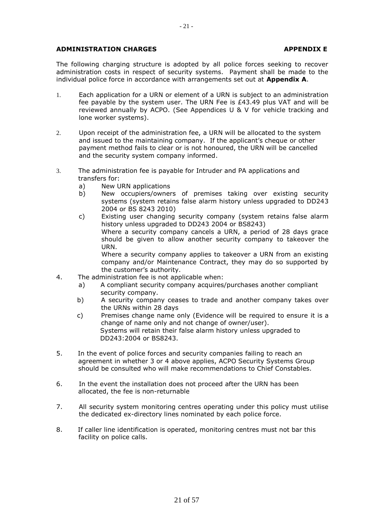# **ADMINISTRATION CHARGES APPENDIX E**

The following charging structure is adopted by all police forces seeking to recover administration costs in respect of security systems. Payment shall be made to the individual police force in accordance with arrangements set out at **Appendix A**.

- 1. Each application for a URN or element of a URN is subject to an administration fee payable by the system user. The URN Fee is £43.49 plus VAT and will be reviewed annually by ACPO. (See Appendices U & V for vehicle tracking and lone worker systems).
- 2. Upon receipt of the administration fee, a URN will be allocated to the system and issued to the maintaining company. If the applicant's cheque or other payment method fails to clear or is not honoured, the URN will be cancelled and the security system company informed.
- 3. The administration fee is payable for Intruder and PA applications and transfers for:
	- a) New URN applications
	- b) New occupiers/owners of premises taking over existing security systems (system retains false alarm history unless upgraded to DD243 2004 or BS 8243 2010)
	- c) Existing user changing security company (system retains false alarm history unless upgraded to DD243 2004 or BS8243) Where a security company cancels a URN, a period of 28 days grace should be given to allow another security company to takeover the URN. Where a security company applies to takeover a URN from an existing company and/or Maintenance Contract, they may do so supported by the customer's authority.
- 4. The administration fee is not applicable when:
	- a) A compliant security company acquires/purchases another compliant security company.
	- b) A security company ceases to trade and another company takes over the URNs within 28 days
	- c) Premises change name only (Evidence will be required to ensure it is a change of name only and not change of owner/user). Systems will retain their false alarm history unless upgraded to DD243:2004 or BS8243.
- 5. In the event of police forces and security companies failing to reach an agreement in whether 3 or 4 above applies, ACPO Security Systems Group should be consulted who will make recommendations to Chief Constables.
- 6. In the event the installation does not proceed after the URN has been allocated, the fee is non-returnable
- 7. All security system monitoring centres operating under this policy must utilise the dedicated ex-directory lines nominated by each police force.
- 8. If caller line identification is operated, monitoring centres must not bar this facility on police calls.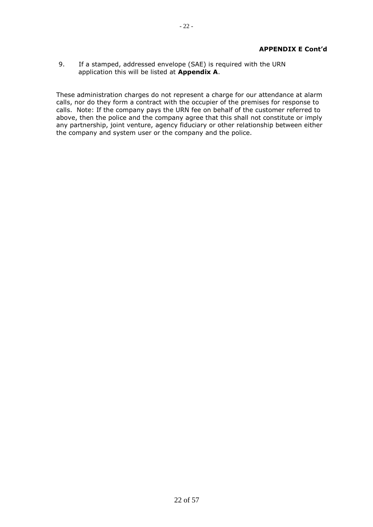9. If a stamped, addressed envelope (SAE) is required with the URN application this will be listed at **Appendix A**.

These administration charges do not represent a charge for our attendance at alarm calls, nor do they form a contract with the occupier of the premises for response to calls. Note: If the company pays the URN fee on behalf of the customer referred to above, then the police and the company agree that this shall not constitute or imply any partnership, joint venture, agency fiduciary or other relationship between either the company and system user or the company and the police.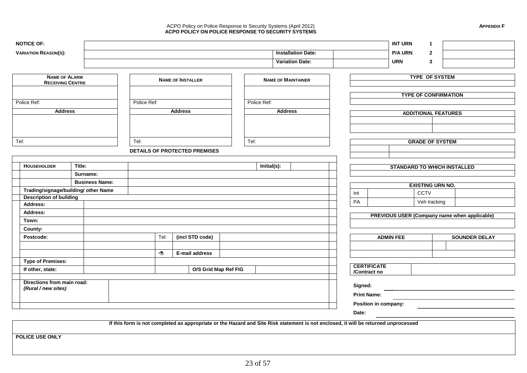#### ACPO Policy on Police Response to Security Systems (April 2012) **APPENDIX F ACPO POLICY ON POLICE RESPONSE TO SECURITY SYSTEMS**

| <b>NOTICE OF:</b>                                 |                       |             |      |                                      |      |             |                                                                                                                                     |                    | <b>INT URN</b>                               | 1                           |  |                      |
|---------------------------------------------------|-----------------------|-------------|------|--------------------------------------|------|-------------|-------------------------------------------------------------------------------------------------------------------------------------|--------------------|----------------------------------------------|-----------------------------|--|----------------------|
| <b>VARIATION REASON(S):</b>                       |                       |             |      |                                      |      |             | <b>Installation Date:</b>                                                                                                           |                    | <b>P/A URN</b>                               | $\mathbf{2}$                |  |                      |
|                                                   |                       |             |      |                                      |      |             | <b>Variation Date:</b>                                                                                                              |                    | <b>URN</b>                                   | $\mathbf{3}$                |  |                      |
|                                                   |                       |             |      |                                      |      |             |                                                                                                                                     |                    |                                              |                             |  |                      |
| <b>NAME OF ALARM</b>                              |                       |             |      | <b>NAME OF INSTALLER</b>             |      |             | <b>NAME OF MAINTAINER</b>                                                                                                           |                    |                                              | <b>TYPE OF SYSTEM</b>       |  |                      |
| <b>RECEIVING CENTRE</b>                           |                       |             |      |                                      |      |             |                                                                                                                                     |                    |                                              |                             |  |                      |
|                                                   |                       |             |      |                                      |      |             |                                                                                                                                     |                    |                                              | <b>TYPE OF CONFIRMATION</b> |  |                      |
| Police Ref:                                       |                       | Police Ref: |      |                                      |      | Police Ref: |                                                                                                                                     |                    |                                              |                             |  |                      |
| <b>Address</b>                                    |                       |             |      | <b>Address</b>                       |      |             | <b>Address</b>                                                                                                                      |                    |                                              |                             |  |                      |
|                                                   |                       |             |      |                                      |      |             |                                                                                                                                     |                    | <b>ADDITIONAL FEATURES</b>                   |                             |  |                      |
|                                                   |                       |             |      |                                      |      |             |                                                                                                                                     |                    |                                              |                             |  |                      |
|                                                   |                       |             |      |                                      |      |             |                                                                                                                                     |                    |                                              |                             |  |                      |
| Tel:                                              |                       | Tel:        |      |                                      | Tel: |             |                                                                                                                                     |                    |                                              | <b>GRADE OF SYSTEM</b>      |  |                      |
|                                                   |                       |             |      | <b>DETAILS OF PROTECTED PREMISES</b> |      |             |                                                                                                                                     |                    |                                              |                             |  |                      |
|                                                   |                       |             |      |                                      |      |             |                                                                                                                                     |                    |                                              |                             |  |                      |
| <b>HOUSEHOLDER</b>                                | Title:                |             |      |                                      |      | Initial(s): |                                                                                                                                     |                    | <b>STANDARD TO WHICH INSTALLED</b>           |                             |  |                      |
|                                                   | Surname:              |             |      |                                      |      |             |                                                                                                                                     |                    |                                              |                             |  |                      |
|                                                   | <b>Business Name:</b> |             |      |                                      |      |             |                                                                                                                                     |                    |                                              |                             |  |                      |
| Trading/signage/building/ other Name              |                       |             |      |                                      |      |             |                                                                                                                                     |                    |                                              | <b>EXISTING URN NO.</b>     |  |                      |
| <b>Description of building</b>                    |                       |             |      |                                      |      |             |                                                                                                                                     | Int                |                                              | CCTV                        |  |                      |
| Address:                                          |                       |             |      |                                      |      |             |                                                                                                                                     | PA                 |                                              | Veh tracking                |  |                      |
| Address:                                          |                       |             |      |                                      |      |             |                                                                                                                                     |                    | PREVIOUS USER (Company name when applicable) |                             |  |                      |
| Town:                                             |                       |             |      |                                      |      |             |                                                                                                                                     |                    |                                              |                             |  |                      |
| County:                                           |                       |             |      |                                      |      |             |                                                                                                                                     |                    |                                              |                             |  |                      |
| Postcode:                                         |                       |             | Tel: | (incl STD code)                      |      |             |                                                                                                                                     |                    | <b>ADMIN FEE</b>                             |                             |  | <b>SOUNDER DELAY</b> |
|                                                   |                       |             |      |                                      |      |             |                                                                                                                                     |                    |                                              |                             |  |                      |
|                                                   |                       |             | ⚠    | E-mail address                       |      |             |                                                                                                                                     |                    |                                              |                             |  |                      |
| <b>Type of Premises:</b>                          |                       |             |      |                                      |      |             |                                                                                                                                     |                    |                                              |                             |  |                      |
| If other, state:                                  |                       |             |      | O/S Grid Map Ref FIG                 |      |             |                                                                                                                                     | /Contract no       | <b>CERTIFICATE</b>                           |                             |  |                      |
|                                                   |                       |             |      |                                      |      |             |                                                                                                                                     |                    |                                              |                             |  |                      |
| Directions from main road:<br>(Rural / new sites) |                       |             |      |                                      |      |             |                                                                                                                                     | Signed:            |                                              |                             |  |                      |
|                                                   |                       |             |      |                                      |      |             |                                                                                                                                     | <b>Print Name:</b> |                                              |                             |  |                      |
|                                                   |                       |             |      |                                      |      |             |                                                                                                                                     |                    | Position in company:                         |                             |  |                      |
|                                                   |                       |             |      |                                      |      |             |                                                                                                                                     | Date:              |                                              |                             |  |                      |
|                                                   |                       |             |      |                                      |      |             |                                                                                                                                     |                    |                                              |                             |  |                      |
|                                                   |                       |             |      |                                      |      |             | If this form is not completed as appropriate or the Hazard and Site Risk statement is not enclosed, it will be returned unprocessed |                    |                                              |                             |  |                      |
| POLICE USE ONLY                                   |                       |             |      |                                      |      |             |                                                                                                                                     |                    |                                              |                             |  |                      |
|                                                   |                       |             |      |                                      |      |             |                                                                                                                                     |                    |                                              |                             |  |                      |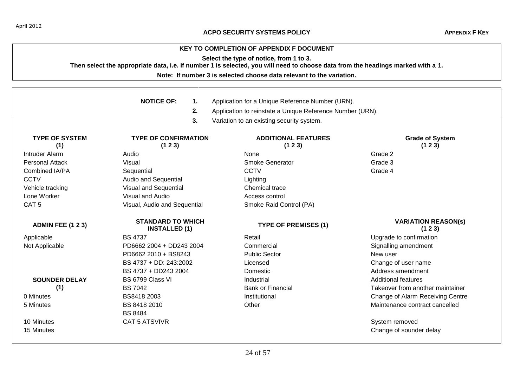# **KEY TO COMPLETION OF APPENDIX F DOCUMENT**

**Select the type of notice, from 1 to 3.**

**Then select the appropriate data, i.e. if number 1 is selected, you will need to choose data from the headings marked with a 1.**

**Note: If number 3 is selected choose data relevant to the variation.**

|                              | <b>NOTICE OF:</b><br>1.                          | Application for a Unique Reference Number (URN).          |                                     |
|------------------------------|--------------------------------------------------|-----------------------------------------------------------|-------------------------------------|
|                              | 2.                                               | Application to reinstate a Unique Reference Number (URN). |                                     |
|                              | 3.                                               | Variation to an existing security system.                 |                                     |
| <b>TYPE OF SYSTEM</b><br>(1) | <b>TYPE OF CONFIRMATION</b><br>(1 2 3)           | <b>ADDITIONAL FEATURES</b><br>(123)                       | <b>Grade of System</b><br>(123)     |
| <b>Intruder Alarm</b>        | Audio                                            | None                                                      | Grade 2                             |
| <b>Personal Attack</b>       | Visual                                           | <b>Smoke Generator</b>                                    | Grade 3                             |
| Combined IA/PA               | Sequential                                       | <b>CCTV</b>                                               | Grade 4                             |
| <b>CCTV</b>                  | Audio and Sequential                             | Lighting                                                  |                                     |
| Vehicle tracking             | Visual and Sequential                            | Chemical trace                                            |                                     |
| Lone Worker                  | <b>Visual and Audio</b>                          | Access control                                            |                                     |
| CAT <sub>5</sub>             | Visual, Audio and Sequential                     | Smoke Raid Control (PA)                                   |                                     |
| <b>ADMIN FEE (123)</b>       | <b>STANDARD TO WHICH</b><br><b>INSTALLED (1)</b> | <b>TYPE OF PREMISES (1)</b>                               | <b>VARIATION REASON(s)</b><br>(123) |
| Applicable                   | <b>BS 4737</b>                                   | Retail                                                    | Upgrade to confirmation             |
| Not Applicable               | PD6662 2004 + DD243 2004                         | Commercial                                                | Signalling amendment                |
|                              | PD6662 2010 + BS8243                             | <b>Public Sector</b>                                      | New user                            |
|                              | BS 4737 + DD: 243:2002                           | Licensed                                                  | Change of user name                 |
|                              | BS 4737 + DD243 2004                             | Domestic                                                  | Address amendment                   |
| <b>SOUNDER DELAY</b>         | BS 6799 Class VI                                 | Industrial                                                | Additional features                 |
| (1)                          | <b>BS 7042</b>                                   | <b>Bank or Financial</b>                                  | Takeover from another maintainer    |
| 0 Minutes                    | BS8418 2003                                      | Institutional                                             | Change of Alarm Receiving Centre    |
| 5 Minutes                    | BS 8418 2010                                     | Other                                                     | Maintenance contract cancelled      |
|                              | <b>BS 8484</b>                                   |                                                           |                                     |
| 10 Minutes                   | <b>CAT 5 ATSVIVR</b>                             |                                                           | System removed                      |
| 15 Minutes                   |                                                  |                                                           | Change of sounder delay             |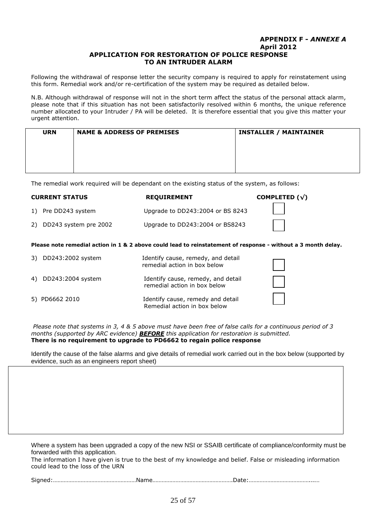### **APPENDIX F -** *ANNEXE A* **April 2012 APPLICATION FOR RESTORATION OF POLICE RESPONSE TO AN INTRUDER ALARM**

Following the withdrawal of response letter the security company is required to apply for reinstatement using this form. Remedial work and/or re-certification of the system may be required as detailed below.

N.B. Although withdrawal of response will not in the short term affect the status of the personal attack alarm, please note that if this situation has not been satisfactorily resolved within 6 months, the unique reference number allocated to your Intruder / PA will be deleted. It is therefore essential that you give this matter your urgent attention.

| <b>URN</b> | <b>NAME &amp; ADDRESS OF PREMISES</b> | <b>INSTALLER / MAINTAINER</b> |
|------------|---------------------------------------|-------------------------------|
|            |                                       |                               |
|            |                                       |                               |
|            |                                       |                               |

The remedial work required will be dependant on the existing status of the system, as follows:

| <b>CURRENT STATUS</b>    | <b>REQUIREMENT</b>               | COMPLETED $(\sqrt{})$ |
|--------------------------|----------------------------------|-----------------------|
| 1) Pre DD243 system      | Upgrade to DD243:2004 or BS 8243 |                       |
| 2) DD243 system pre 2002 | Upgrade to DD243:2004 or BS8243  |                       |

**Please note remedial action in 1 & 2 above could lead to reinstatement of response - without a 3 month delay.**

| 3) DD243:2002 system | Identify cause, remedy, and detail<br>remedial action in box below |  |
|----------------------|--------------------------------------------------------------------|--|
| 4) DD243:2004 system | Identify cause, remedy, and detail<br>remedial action in box below |  |
| 5) PD6662 2010       | Identify cause, remedy and detail<br>Remedial action in box below  |  |

*Please note that systems in 3, 4 & 5 above must have been free of false calls for a continuous period of 3 months (supported by ARC evidence) BEFORE this application for restoration is submitted.* **There is no requirement to upgrade to PD6662 to regain police response**

Identify the cause of the false alarms and give details of remedial work carried out in the box below (supported by evidence, such as an engineers report sheet)

Where a system has been upgraded a copy of the new NSI or SSAIB certificate of compliance/conformity must be forwarded with this application.

The information I have given is true to the best of my knowledge and belief. False or misleading information could lead to the loss of the URN

|--|--|--|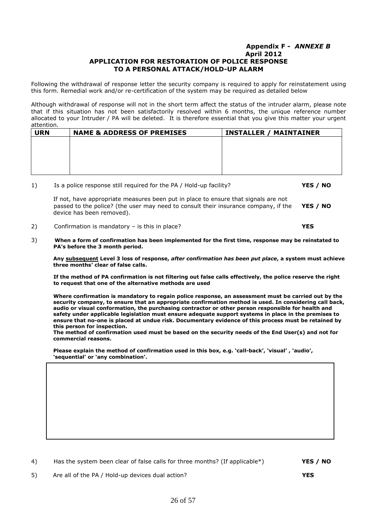### **Appendix F -** *ANNEXE B* **April 2012 APPLICATION FOR RESTORATION OF POLICE RESPONSE TO A PERSONAL ATTACK/HOLD-UP ALARM**

Following the withdrawal of response letter the security company is required to apply for reinstatement using this form. Remedial work and/or re-certification of the system may be required as detailed below

Although withdrawal of response will not in the short term affect the status of the intruder alarm, please note that if this situation has not been satisfactorily resolved within 6 months, the unique reference number allocated to your Intruder / PA will be deleted. It is therefore essential that you give this matter your urgent attention.

| <b>URN</b> | <b>NAME &amp; ADDRESS OF PREMISES</b> | <b>INSTALLER / MAINTAINER</b> |
|------------|---------------------------------------|-------------------------------|
|            |                                       |                               |
|            |                                       |                               |
|            |                                       |                               |
|            |                                       |                               |
|            |                                       |                               |

1) Is a police response still required for the PA / Hold-up facility? **YES / NO**

If not, have appropriate measures been put in place to ensure that signals are not passed to the police? (the user may need to consult their insurance company, if the **YES / NO**  device has been removed).

2) Confirmation is mandatory – is this in place? **YES**

3) **When a form of confirmation has been implemented for the first time, response may be reinstated to PA's before the 3 month period.** 

**Any subsequent Level 3 loss of response,** *after confirmation has been put place***, a system must achieve three months' clear of false calls.**

 **If the method of PA confirmation is not filtering out false calls effectively, the police reserve the right to request that one of the alternative methods are used**

**Where confirmation is mandatory to regain police response, an assessment must be carried out by the security company, to ensure that an appropriate confirmation method is used. In considering call back, audio or visual conformation, the purchasing contractor or other person responsible for health and safety under applicable legislation must ensure adequate support systems in place in the premises to ensure that no-one is placed at undue risk. Documentary evidence of this process must be retained by this person for inspection.** 

**The method of confirmation used must be based on the security needs of the End User(s) and not for commercial reasons.**

**Please explain the method of confirmation used in this box, e.g. 'call-back', 'visual' , 'audio', 'sequential' or 'any combination'.**

|  | Has the system been clear of false calls for three months? (If applicable*) | YES / NO |
|--|-----------------------------------------------------------------------------|----------|
|--|-----------------------------------------------------------------------------|----------|

5) Are all of the PA / Hold-up devices dual action? **YES**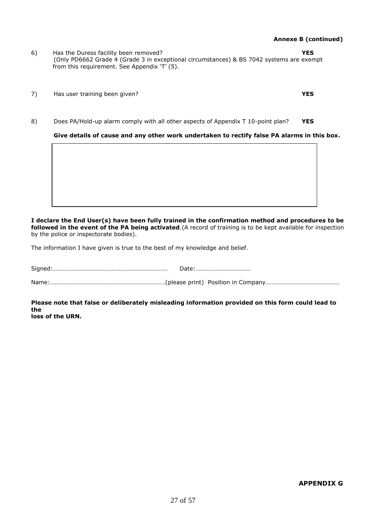- **Annexe B (continued)**
- 6) Has the Duress facility been removed? **YES**  (Only PD6662 Grade 4 (Grade 3 in exceptional circumstances) & BS 7042 systems are exempt from this requirement. See Appendix 'T' (5).
- 7) Has user training been given? **YES**
- 8) Does PA/Hold-up alarm comply with all other aspects of Appendix T 10-point plan? **YES**

**Give details of cause and any other work undertaken to rectify false PA alarms in this box.**

### **I declare the End User(s) have been fully trained in the confirmation method and procedures to be followed in the event of the PA being activated**.(A record of training is to be kept available for inspection by the police or inspectorate bodies).

The information I have given is true to the best of my knowledge and belief.

Signed:……………………………………………………………….. Date:……………………………… Name:…………………………………………………………………(please print) Position in Company…………………………………………

**Please note that false or deliberately misleading information provided on this form could lead to the**

**loss of the URN.**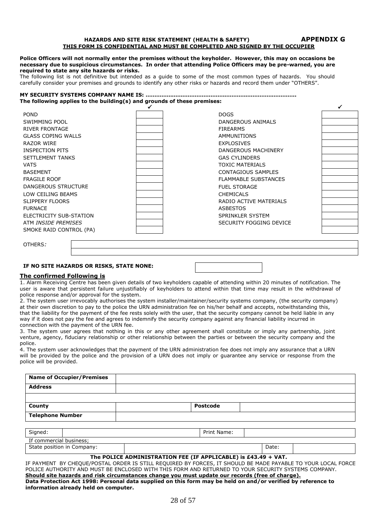#### **HAZARDS AND SITE RISK STATEMENT (HEALTH & SAFETY) APPENDIX G THIS FORM IS CONFIDENTIAL AND MUST BE COMPLETED AND SIGNED BY THE OCCUPIER**

#### **Police Officers will not normally enter the premises without the keyholder. However, this may on occasions be necessary due to suspicious circumstances. In order that attending Police Officers may be pre-warned, you are required to state any site hazards or risks.**

The following list is not definitive but intended as a guide to some of the most common types of hazards. You should carefully consider your premises and grounds to identify any other risks or hazards and record them under "OTHERS".

#### **MY SECURITY SYSTEMS COMPANY NAME IS: ………………………………………………………………………….. The following applies to the building(s) and grounds of these premises:**

| <b>POND</b>                | <b>DOGS</b>                 |  |
|----------------------------|-----------------------------|--|
| SWIMMING POOL              | DANGEROUS ANIMALS           |  |
| <b>RIVER FRONTAGE</b>      | <b>FIREARMS</b>             |  |
| <b>GLASS COPING WALLS</b>  | <b>AMMUNITIONS</b>          |  |
| RAZOR WIRE                 | <b>EXPLOSIVES</b>           |  |
| INSPECTION PITS            | DANGEROUS MACHINERY         |  |
| <b>SETTLEMENT TANKS</b>    | <b>GAS CYLINDERS</b>        |  |
| <b>VATS</b>                | <b>TOXIC MATERIALS</b>      |  |
| <b>BASEMENT</b>            | CONTAGIOUS SAMPLES          |  |
| <b>FRAGILE ROOF</b>        | <b>FLAMMABLE SUBSTANCES</b> |  |
| <b>DANGEROUS STRUCTURE</b> | <b>FUEL STORAGE</b>         |  |
| LOW CEILING BEAMS          | <b>CHEMICALS</b>            |  |
| <b>SLIPPERY FLOORS</b>     | RADIO ACTIVE MATERIALS      |  |
| <b>FURNACE</b>             | <b>ASBESTOS</b>             |  |
| ELECTRICITY SUB-STATION    | SPRINKLER SYSTEM            |  |
| ATM INSIDE PREMISES        | SECURITY FOGGING DEVICE     |  |
| SMOKE RAID CONTROL (PA)    |                             |  |
|                            |                             |  |

OTHERS*:*

#### **IF NO SITE HAZARDS OR RISKS, STATE NONE:**

#### **The confirmed Following is**

1. Alarm Receiving Centre has been given details of two keyholders capable of attending within 20 minutes of notification. The user is aware that persistent failure unjustifiably of keyholders to attend within that time may result in the withdrawal of police response and/or approval for the system.

2. The system user irrevocably authorises the system installer/maintainer/security systems company, (the security company) at their own discretion to pay to the police the URN administration fee on his/her behalf and accepts, notwithstanding this, that the liability for the payment of the fee rests solely with the user, that the security company cannot be held liable in any way if it does not pay the fee and agrees to indemnify the security company against any financial liability incurred in connection with the payment of the URN fee.

3. The system user agrees that nothing in this or any other agreement shall constitute or imply any partnership, joint venture, agency, fiduciary relationship or other relationship between the parties or between the security company and the police.

4. The system user acknowledges that the payment of the URN administration fee does not imply any assurance that a URN will be provided by the police and the provision of a URN does not imply or guarantee any service or response from the police will be provided.

| <b>Name of Occupier/Premises</b> |             |  |
|----------------------------------|-------------|--|
| <b>Address</b>                   |             |  |
|                                  |             |  |
| <b>County</b>                    | Postcode    |  |
| <b>Telephone Number</b>          |             |  |
|                                  |             |  |
| Signed:                          | Print Name: |  |

| $\cdot$<br>If commercial<br>. business: |  |       |  |  |  |
|-----------------------------------------|--|-------|--|--|--|
| State position in<br>Company:           |  | Date: |  |  |  |

### **The POLICE ADMINISTRATION FEE (IF APPLICABLE) is £43.49 + VAT.**

| IF PAYMENT BY CHEQUE/POSTAL ORDER IS STILL REQUIRED BY FORCES, IT SHOULD BE MADE PAYABLE TO YOUR LOCAL FORCE |
|--------------------------------------------------------------------------------------------------------------|
| POLICE AUTHORITY AND MUST BE ENCLOSED WITH THIS FORM AND RETURNED TO YOUR SECURITY SYSTEMS COMPANY.          |
| Should site hazards and risk circumstances change you must update our records (free of charge).              |
| Data Protection Act 1998: Personal data supplied on this form may be held on and/or verified by reference to |
| information already held on computer.                                                                        |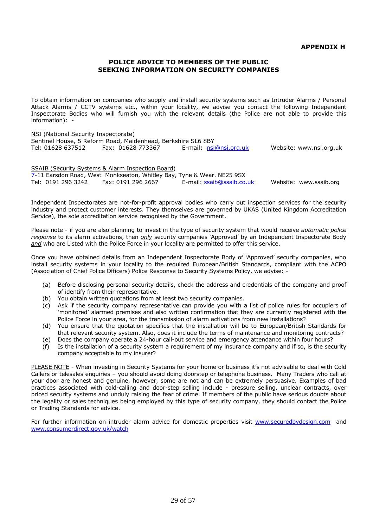# **POLICE ADVICE TO MEMBERS OF THE PUBLIC SEEKING INFORMATION ON SECURITY COMPANIES**

To obtain information on companies who supply and install security systems such as Intruder Alarms / Personal Attack Alarms / CCTV systems etc., within your locality, we advise you contact the following Independent Inspectorate Bodies who will furnish you with the relevant details (the Police are not able to provide this information): -

### NSI (National Security Inspectorate)

Sentinel House, 5 Reform Road, Maidenhead, Berkshire SL6 8BY Tel: 01628 637512 Fax: 01628 773367 E-mail: [nsi@nsi.org.uk](mailto:nsi@nsi.org.uk) Website: www.nsi.org.uk

SSAIB (Security Systems & Alarm Inspection Board) 7-11 Earsdon Road, West Monkseaton, Whitley Bay, Tyne & Wear. NE25 9SX Tel: 0191 296 3242 Fax: 0191 296 2667 E-mail: [ssaib@ssaib.co.uk](mailto:ssaib@ssaib.co.uk) Website: www.ssaib.org

Independent Inspectorates are not-for-profit approval bodies who carry out inspection services for the security industry and protect customer interests. They themselves are governed by UKAS (United Kingdom Accreditation Service), the sole accreditation service recognised by the Government.

Please note - if you are also planning to invest in the type of security system that would receive *automatic police response* to its alarm activations, then *only* security companies 'Approved' by an Independent Inspectorate Body *and* who are Listed with the Police Force in your locality are permitted to offer this service.

Once you have obtained details from an Independent Inspectorate Body of 'Approved' security companies, who install security systems in your locality to the required European/British Standards, compliant with the ACPO (Association of Chief Police Officers) Police Response to Security Systems Policy, we advise: -

- (a) Before disclosing personal security details, check the address and credentials of the company and proof of identify from their representative.
- (b) You obtain written quotations from at least two security companies.
- (c) Ask if the security company representative can provide you with a list of police rules for occupiers of 'monitored' alarmed premises and also written confirmation that they are currently registered with the Police Force in your area, for the transmission of alarm activations from new installations?
- (d) You ensure that the quotation specifies that the installation will be to European/British Standards for that relevant security system. Also, does it include the terms of maintenance and monitoring contracts?
- (e) Does the company operate a 24-hour call-out service and emergency attendance within four hours?
- (f) Is the installation of a security system a requirement of my insurance company and if so, is the security company acceptable to my insurer?

PLEASE NOTE - When investing in Security Systems for your home or business it's not advisable to deal with Cold Callers or telesales enquiries – you should avoid doing doorstep or telephone business. Many Traders who call at your door are honest and genuine, however, some are not and can be extremely persuasive. Examples of bad practices associated with cold-calling and door-step selling include - pressure selling, unclear contracts, over priced security systems and unduly raising the fear of crime. If members of the public have serious doubts about the legality or sales techniques being employed by this type of security company, they should contact the Police or Trading Standards for advice.

For further information on intruder alarm advice for domestic properties visit [www.securedbydesign.com](http://www.securedbydesign.com/) and [www.consumerdirect.gov.uk/watch](http://www.consumerdirect.gov.uk/watch)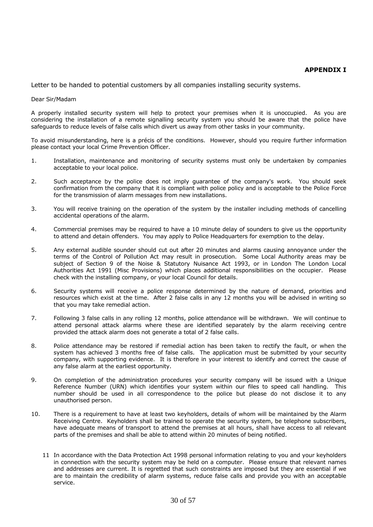### **APPENDIX I**

Letter to be handed to potential customers by all companies installing security systems.

### Dear Sir/Madam

A properly installed security system will help to protect your premises when it is unoccupied. As you are considering the installation of a remote signalling security system you should be aware that the police have safeguards to reduce levels of false calls which divert us away from other tasks in your community.

To avoid misunderstanding, here is a précis of the conditions. However, should you require further information please contact your local Crime Prevention Officer.

- 1. Installation, maintenance and monitoring of security systems must only be undertaken by companies acceptable to your local police.
- 2. Such acceptance by the police does not imply guarantee of the company's work. You should seek confirmation from the company that it is compliant with police policy and is acceptable to the Police Force for the transmission of alarm messages from new installations.
- 3. You will receive training on the operation of the system by the installer including methods of cancelling accidental operations of the alarm.
- 4. Commercial premises may be required to have a 10 minute delay of sounders to give us the opportunity to attend and detain offenders. You may apply to Police Headquarters for exemption to the delay.
- 5. Any external audible sounder should cut out after 20 minutes and alarms causing annoyance under the terms of the Control of Pollution Act may result in prosecution. Some Local Authority areas may be subject of Section 9 of the Noise & Statutory Nuisance Act 1993, or in London The London Local Authorities Act 1991 (Misc Provisions) which places additional responsibilities on the occupier. Please check with the installing company, or your local Council for details.
- 6. Security systems will receive a police response determined by the nature of demand, priorities and resources which exist at the time. After 2 false calls in any 12 months you will be advised in writing so that you may take remedial action.
- 7. Following 3 false calls in any rolling 12 months, police attendance will be withdrawn. We will continue to attend personal attack alarms where these are identified separately by the alarm receiving centre provided the attack alarm does not generate a total of 2 false calls.
- 8. Police attendance may be restored if remedial action has been taken to rectify the fault, or when the system has achieved 3 months free of false calls. The application must be submitted by your security company, with supporting evidence. It is therefore in your interest to identify and correct the cause of any false alarm at the earliest opportunity.
- 9. On completion of the administration procedures your security company will be issued with a Unique Reference Number (URN) which identifies your system within our files to speed call handling. This number should be used in all correspondence to the police but please do not disclose it to any unauthorised person.
- 10. There is a requirement to have at least two keyholders, details of whom will be maintained by the Alarm Receiving Centre. Keyholders shall be trained to operate the security system, be telephone subscribers, have adequate means of transport to attend the premises at all hours, shall have access to all relevant parts of the premises and shall be able to attend within 20 minutes of being notified.
	- 11 In accordance with the Data Protection Act 1998 personal information relating to you and your keyholders in connection with the security system may be held on a computer. Please ensure that relevant names and addresses are current. It is regretted that such constraints are imposed but they are essential if we are to maintain the credibility of alarm systems, reduce false calls and provide you with an acceptable service.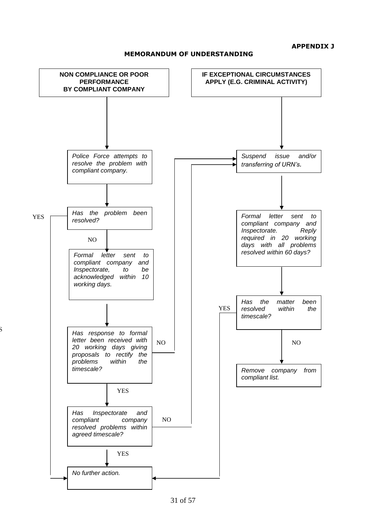**APPENDIX J**

**MEMORANDUM OF UNDERSTANDING**



YES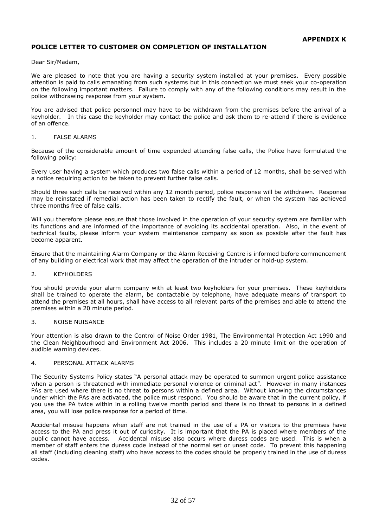# **POLICE LETTER TO CUSTOMER ON COMPLETION OF INSTALLATION**

Dear Sir/Madam,

We are pleased to note that you are having a security system installed at your premises. Every possible attention is paid to calls emanating from such systems but in this connection we must seek your co-operation on the following important matters. Failure to comply with any of the following conditions may result in the police withdrawing response from your system.

You are advised that police personnel may have to be withdrawn from the premises before the arrival of a keyholder. In this case the keyholder may contact the police and ask them to re-attend if there is evidence of an offence.

### 1. FALSE ALARMS

Because of the considerable amount of time expended attending false calls, the Police have formulated the following policy:

Every user having a system which produces two false calls within a period of 12 months, shall be served with a notice requiring action to be taken to prevent further false calls.

Should three such calls be received within any 12 month period, police response will be withdrawn. Response may be reinstated if remedial action has been taken to rectify the fault, or when the system has achieved three months free of false calls.

Will you therefore please ensure that those involved in the operation of your security system are familiar with its functions and are informed of the importance of avoiding its accidental operation. Also, in the event of technical faults, please inform your system maintenance company as soon as possible after the fault has become apparent.

Ensure that the maintaining Alarm Company or the Alarm Receiving Centre is informed before commencement of any building or electrical work that may affect the operation of the intruder or hold-up system.

#### 2. KEYHOLDERS

You should provide your alarm company with at least two keyholders for your premises. These keyholders shall be trained to operate the alarm, be contactable by telephone, have adequate means of transport to attend the premises at all hours, shall have access to all relevant parts of the premises and able to attend the premises within a 20 minute period.

### 3. NOISE NUISANCE

Your attention is also drawn to the Control of Noise Order 1981, The Environmental Protection Act 1990 and the Clean Neighbourhood and Environment Act 2006. This includes a 20 minute limit on the operation of audible warning devices.

### 4. PERSONAL ATTACK ALARMS

The Security Systems Policy states "A personal attack may be operated to summon urgent police assistance when a person is threatened with immediate personal violence or criminal act". However in many instances PAs are used where there is no threat to persons within a defined area. Without knowing the circumstances under which the PAs are activated, the police must respond. You should be aware that in the current policy, if you use the PA twice within in a rolling twelve month period and there is no threat to persons in a defined area, you will lose police response for a period of time.

Accidental misuse happens when staff are not trained in the use of a PA or visitors to the premises have access to the PA and press it out of curiosity. It is important that the PA is placed where members of the public cannot have access. Accidental misuse also occurs where duress codes are used. This is when a member of staff enters the duress code instead of the normal set or unset code. To prevent this happening all staff (including cleaning staff) who have access to the codes should be properly trained in the use of duress codes.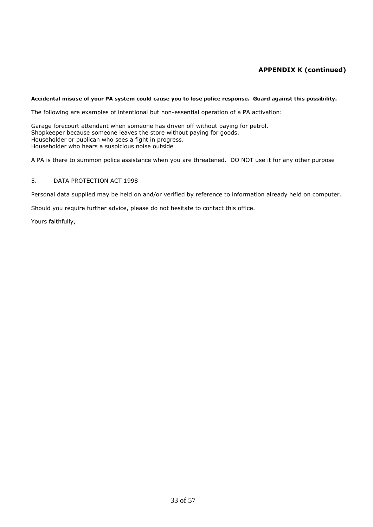# **APPENDIX K (continued)**

### **Accidental misuse of your PA system could cause you to lose police response. Guard against this possibility.**

The following are examples of intentional but non-essential operation of a PA activation:

Garage forecourt attendant when someone has driven off without paying for petrol. Shopkeeper because someone leaves the store without paying for goods. Householder or publican who sees a fight in progress. Householder who hears a suspicious noise outside

A PA is there to summon police assistance when you are threatened. DO NOT use it for any other purpose

### 5. DATA PROTECTION ACT 1998

Personal data supplied may be held on and/or verified by reference to information already held on computer.

Should you require further advice, please do not hesitate to contact this office.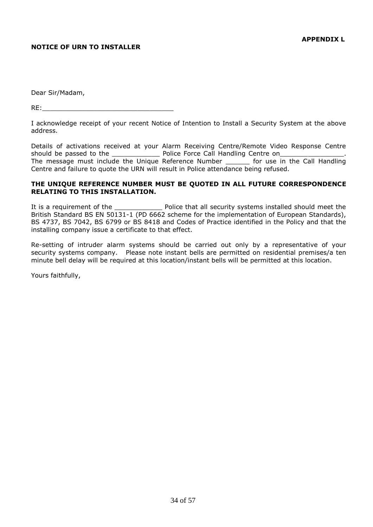# **NOTICE OF URN TO INSTALLER**

Dear Sir/Madam,

 $RE:$ 

I acknowledge receipt of your recent Notice of Intention to Install a Security System at the above address.

Details of activations received at your Alarm Receiving Centre/Remote Video Response Centre should be passed to the \_\_\_\_\_\_\_\_\_\_\_\_ Police Force Call Handling Centre on\_\_\_\_\_\_\_\_\_\_\_\_\_\_\_\_. The message must include the Unique Reference Number for use in the Call Handling Centre and failure to quote the URN will result in Police attendance being refused.

# **THE UNIQUE REFERENCE NUMBER MUST BE QUOTED IN ALL FUTURE CORRESPONDENCE RELATING TO THIS INSTALLATION.**

It is a requirement of the The Reflice that all security systems installed should meet the British Standard BS EN 50131-1 (PD 6662 scheme for the implementation of European Standards), BS 4737, BS 7042, BS 6799 or BS 8418 and Codes of Practice identified in the Policy and that the installing company issue a certificate to that effect.

Re-setting of intruder alarm systems should be carried out only by a representative of your security systems company. Please note instant bells are permitted on residential premises/a ten minute bell delay will be required at this location/instant bells will be permitted at this location.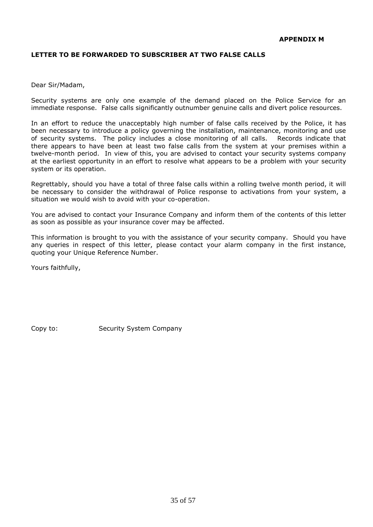# **LETTER TO BE FORWARDED TO SUBSCRIBER AT TWO FALSE CALLS**

Dear Sir/Madam,

Security systems are only one example of the demand placed on the Police Service for an immediate response. False calls significantly outnumber genuine calls and divert police resources.

In an effort to reduce the unacceptably high number of false calls received by the Police, it has been necessary to introduce a policy governing the installation, maintenance, monitoring and use of security systems. The policy includes a close monitoring of all calls. Records indicate that there appears to have been at least two false calls from the system at your premises within a twelve-month period. In view of this, you are advised to contact your security systems company at the earliest opportunity in an effort to resolve what appears to be a problem with your security system or its operation.

Regrettably, should you have a total of three false calls within a rolling twelve month period, it will be necessary to consider the withdrawal of Police response to activations from your system, a situation we would wish to avoid with your co-operation.

You are advised to contact your Insurance Company and inform them of the contents of this letter as soon as possible as your insurance cover may be affected.

This information is brought to you with the assistance of your security company. Should you have any queries in respect of this letter, please contact your alarm company in the first instance, quoting your Unique Reference Number.

Yours faithfully,

Copy to: Security System Company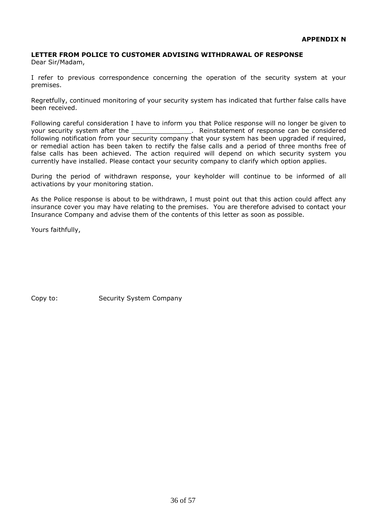# **LETTER FROM POLICE TO CUSTOMER ADVISING WITHDRAWAL OF RESPONSE**

Dear Sir/Madam,

I refer to previous correspondence concerning the operation of the security system at your premises.

Regretfully, continued monitoring of your security system has indicated that further false calls have been received.

Following careful consideration I have to inform you that Police response will no longer be given to your security system after the \_\_\_\_\_\_\_\_\_\_\_\_\_\_\_\_\_\_. Reinstatement of response can be considered following notification from your security company that your system has been upgraded if required, or remedial action has been taken to rectify the false calls and a period of three months free of false calls has been achieved. The action required will depend on which security system you currently have installed. Please contact your security company to clarify which option applies.

During the period of withdrawn response, your keyholder will continue to be informed of all activations by your monitoring station.

As the Police response is about to be withdrawn, I must point out that this action could affect any insurance cover you may have relating to the premises. You are therefore advised to contact your Insurance Company and advise them of the contents of this letter as soon as possible.

Yours faithfully,

Copy to: Security System Company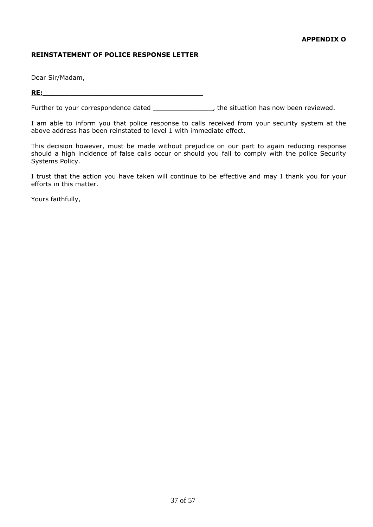# **REINSTATEMENT OF POLICE RESPONSE LETTER**

Dear Sir/Madam,

# **RE:\_\_\_\_\_\_\_\_\_\_\_\_\_\_\_\_\_\_\_\_\_\_\_\_\_\_\_\_\_\_\_\_\_\_\_\_**

Further to your correspondence dated \_\_\_\_\_\_\_\_\_\_\_\_\_\_\_\_, the situation has now been reviewed.

I am able to inform you that police response to calls received from your security system at the above address has been reinstated to level 1 with immediate effect.

This decision however, must be made without prejudice on our part to again reducing response should a high incidence of false calls occur or should you fail to comply with the police Security Systems Policy.

I trust that the action you have taken will continue to be effective and may I thank you for your efforts in this matter.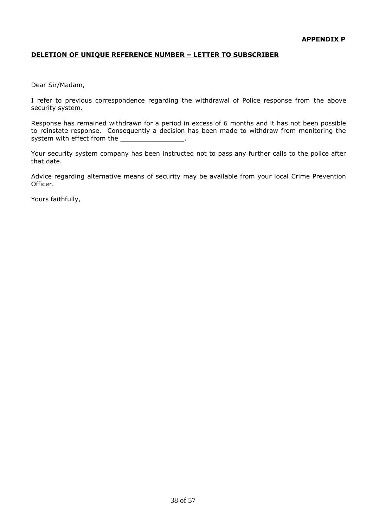# **DELETION OF UNIQUE REFERENCE NUMBER – LETTER TO SUBSCRIBER**

Dear Sir/Madam,

I refer to previous correspondence regarding the withdrawal of Police response from the above security system.

Response has remained withdrawn for a period in excess of 6 months and it has not been possible to reinstate response. Consequently a decision has been made to withdraw from monitoring the system with effect from the

Your security system company has been instructed not to pass any further calls to the police after that date.

Advice regarding alternative means of security may be available from your local Crime Prevention Officer.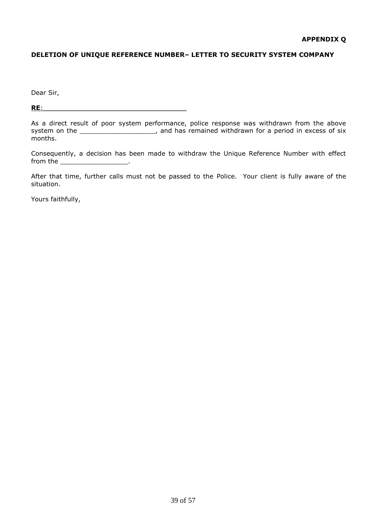# **DELETION OF UNIQUE REFERENCE NUMBER– LETTER TO SECURITY SYSTEM COMPANY**

Dear Sir,

**RE**:\_\_\_\_\_\_\_\_\_\_\_\_\_\_\_\_\_\_\_\_\_\_\_\_\_\_\_\_\_\_\_\_\_\_\_\_

Consequently, a decision has been made to withdraw the Unique Reference Number with effect from the the contract of the contract of  $\mathbf{r}$ 

After that time, further calls must not be passed to the Police. Your client is fully aware of the situation.

As a direct result of poor system performance, police response was withdrawn from the above system on the \_\_\_\_\_\_\_\_\_\_\_\_\_\_\_\_\_\_\_\_\_, and has remained withdrawn for a period in excess of six months.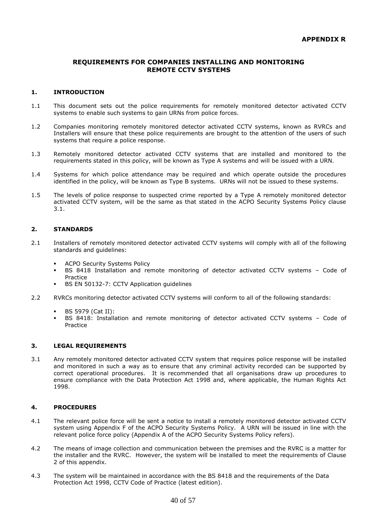# **REQUIREMENTS FOR COMPANIES INSTALLING AND MONITORING REMOTE CCTV SYSTEMS**

### **1. INTRODUCTION**

- 1.1 This document sets out the police requirements for remotely monitored detector activated CCTV systems to enable such systems to gain URNs from police forces.
- 1.2 Companies monitoring remotely monitored detector activated CCTV systems, known as RVRCs and Installers will ensure that these police requirements are brought to the attention of the users of such systems that require a police response.
- 1.3 Remotely monitored detector activated CCTV systems that are installed and monitored to the requirements stated in this policy, will be known as Type A systems and will be issued with a URN.
- 1.4 Systems for which police attendance may be required and which operate outside the procedures identified in the policy, will be known as Type B systems. URNs will not be issued to these systems.
- 1.5 The levels of police response to suspected crime reported by a Type A remotely monitored detector activated CCTV system, will be the same as that stated in the ACPO Security Systems Policy clause 3.1.

### **2. STANDARDS**

- 2.1 Installers of remotely monitored detector activated CCTV systems will comply with all of the following standards and guidelines:
	- ACPO Security Systems Policy
	- BS 8418 Installation and remote monitoring of detector activated CCTV systems Code of Practice
	- BS EN 50132-7: CCTV Application guidelines
- 2.2 RVRCs monitoring detector activated CCTV systems will conform to all of the following standards:
	- BS 5979 (Cat II):
	- BS 8418: Installation and remote monitoring of detector activated CCTV systems Code of Practice

### **3. LEGAL REQUIREMENTS**

3.1 Any remotely monitored detector activated CCTV system that requires police response will be installed and monitored in such a way as to ensure that any criminal activity recorded can be supported by correct operational procedures. It is recommended that all organisations draw up procedures to ensure compliance with the Data Protection Act 1998 and, where applicable, the Human Rights Act 1998.

# **4. PROCEDURES**

- 4.1 The relevant police force will be sent a notice to install a remotely monitored detector activated CCTV system using Appendix F of the ACPO Security Systems Policy. A URN will be issued in line with the relevant police force policy (Appendix A of the ACPO Security Systems Policy refers).
- 4.2 The means of image collection and communication between the premises and the RVRC is a matter for the installer and the RVRC. However, the system will be installed to meet the requirements of Clause 2 of this appendix.
- 4.3 The system will be maintained in accordance with the BS 8418 and the requirements of the Data Protection Act 1998, CCTV Code of Practice (latest edition).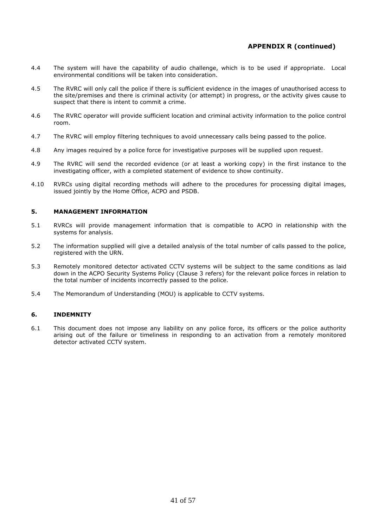# **APPENDIX R (continued)**

- 4.4 The system will have the capability of audio challenge, which is to be used if appropriate. Local environmental conditions will be taken into consideration.
- 4.5 The RVRC will only call the police if there is sufficient evidence in the images of unauthorised access to the site/premises and there is criminal activity (or attempt) in progress, or the activity gives cause to suspect that there is intent to commit a crime.
- 4.6 The RVRC operator will provide sufficient location and criminal activity information to the police control room.
- 4.7 The RVRC will employ filtering techniques to avoid unnecessary calls being passed to the police.
- 4.8 Any images required by a police force for investigative purposes will be supplied upon request.
- 4.9 The RVRC will send the recorded evidence (or at least a working copy) in the first instance to the investigating officer, with a completed statement of evidence to show continuity.
- 4.10 RVRCs using digital recording methods will adhere to the procedures for processing digital images, issued jointly by the Home Office, ACPO and PSDB.

### **5. MANAGEMENT INFORMATION**

- 5.1 RVRCs will provide management information that is compatible to ACPO in relationship with the systems for analysis.
- 5.2 The information supplied will give a detailed analysis of the total number of calls passed to the police, registered with the URN.
- 5.3 Remotely monitored detector activated CCTV systems will be subject to the same conditions as laid down in the ACPO Security Systems Policy (Clause 3 refers) for the relevant police forces in relation to the total number of incidents incorrectly passed to the police.
- 5.4 The Memorandum of Understanding (MOU) is applicable to CCTV systems.

### **6. INDEMNITY**

6.1 This document does not impose any liability on any police force, its officers or the police authority arising out of the failure or timeliness in responding to an activation from a remotely monitored detector activated CCTV system.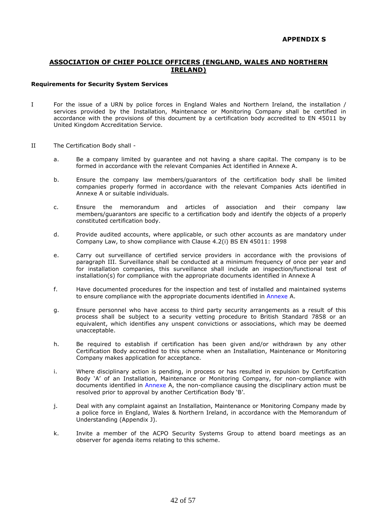# **ASSOCIATION OF CHIEF POLICE OFFICERS (ENGLAND, WALES AND NORTHERN IRELAND)**

### **Requirements for Security System Services**

- I For the issue of a URN by police forces in England Wales and Northern Ireland, the installation / services provided by the Installation, Maintenance or Monitoring Company shall be certified in accordance with the provisions of this document by a certification body accredited to EN 45011 by United Kingdom Accreditation Service.
- II The Certification Body shall
	- a. Be a company limited by guarantee and not having a share capital. The company is to be formed in accordance with the relevant Companies Act identified in Annexe A.
	- b. Ensure the company law members/guarantors of the certification body shall be limited companies properly formed in accordance with the relevant Companies Acts identified in Annexe A or suitable individuals.
	- c. Ensure the memorandum and articles of association and their company law members/guarantors are specific to a certification body and identify the objects of a properly constituted certification body.
	- d. Provide audited accounts, where applicable, or such other accounts as are mandatory under Company Law, to show compliance with Clause 4.2(i) BS EN 45011: 1998
	- e. Carry out surveillance of certified service providers in accordance with the provisions of paragraph III. Surveillance shall be conducted at a minimum frequency of once per year and for installation companies, this surveillance shall include an inspection/functional test of installation(s) for compliance with the appropriate documents identified in Annexe A
	- f. Have documented procedures for the inspection and test of installed and maintained systems to ensure compliance with the appropriate documents identified in Annexe A.
	- g. Ensure personnel who have access to third party security arrangements as a result of this process shall be subject to a security vetting procedure to British Standard 7858 or an equivalent, which identifies any unspent convictions or associations, which may be deemed unacceptable.
	- h. Be required to establish if certification has been given and/or withdrawn by any other Certification Body accredited to this scheme when an Installation, Maintenance or Monitoring Company makes application for acceptance.
	- i. Where disciplinary action is pending, in process or has resulted in expulsion by Certification Body 'A' of an Installation, Maintenance or Monitoring Company, for non-compliance with documents identified in Annexe A, the non-compliance causing the disciplinary action must be resolved prior to approval by another Certification Body 'B'.
	- j. Deal with any complaint against an Installation, Maintenance or Monitoring Company made by a police force in England, Wales & Northern Ireland, in accordance with the Memorandum of Understanding (Appendix J).
	- k. Invite a member of the ACPO Security Systems Group to attend board meetings as an observer for agenda items relating to this scheme.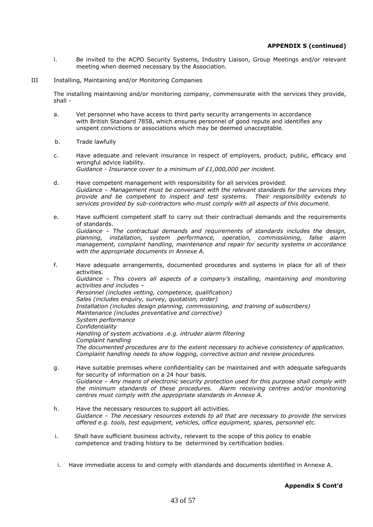# **APPENDIX S (continued)**

- l. Be invited to the ACPO Security Systems, Industry Liaison, Group Meetings and/or relevant meeting when deemed necessary by the Association.
- III Installing, Maintaining and/or Monitoring Companies

The installing maintaining and/or monitoring company, commensurate with the services they provide, shall -

- a. Vet personnel who have access to third party security arrangements in accordance with British Standard 7858, which ensures personnel of good repute and identifies any unspent convictions or associations which may be deemed unacceptable.
- b. Trade lawfully
- c. Have adequate and relevant insurance in respect of employers, product, public, efficacy and wrongful advice liability. *Guidance - Insurance cover to a minimum of £1,000,000 per incident.*
- d. Have competent management with responsibility for all services provided. *Guidance – Management must be conversant with the relevant standards for the services they provide and be competent to inspect and test systems. Their responsibility extends to services provided by sub-contractors who must comply with all aspects of this document.*
- e. Have sufficient competent staff to carry out their contractual demands and the requirements of standards. *Guidance – The contractual demands and requirements of standards includes the design, planning, installation, system performance, operation, commissioning, false alarm management, complaint handling, maintenance and repair for security systems in accordance with the appropriate documents in Annexe A.*
- f. Have adequate arrangements, documented procedures and systems in place for all of their activities. *Guidance – This covers all aspects of a company's installing, maintaining and monitoring activities and includes – Personnel (includes vetting, competence, qualification) Sales (includes enquiry, survey, quotation, order) Installation (includes design planning, commissioning, and training of subscribers) Maintenance (includes preventative and corrective) System performance Confidentiality Handling of system activations .e.g. intruder alarm filtering Complaint handling The documented procedures are to the extent necessary to achieve consistency of application. Complaint handling needs to show logging, corrective action and review procedures.*
- g. Have suitable premises where confidentiality can be maintained and with adequate safeguards for security of information on a 24 hour basis. *Guidance – Any means of electronic security protection used for this purpose shall comply with the minimum standards of these procedures. Alarm receiving centres and/or monitoring centres must comply with the appropriate standards in Annexe A.*
- h. Have the necessary resources to support all activities. *Guidance – The necessary resources extends to all that are necessary to provide the services offered e.g. tools, test equipment, vehicles, office equipment, spares, personnel etc.*
- i. Shall have sufficient business activity, relevant to the scope of this policy to enable competence and trading history to be determined by certification bodies.
- i. Have immediate access to and comply with standards and documents identified in Annexe A.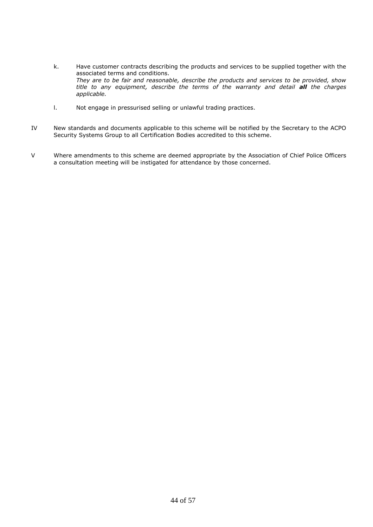- k. Have customer contracts describing the products and services to be supplied together with the associated terms and conditions. *They are to be fair and reasonable, describe the products and services to be provided, show title to any equipment, describe the terms of the warranty and detail all the charges applicable.*
- l. Not engage in pressurised selling or unlawful trading practices.
- IV New standards and documents applicable to this scheme will be notified by the Secretary to the ACPO Security Systems Group to all Certification Bodies accredited to this scheme.
- V Where amendments to this scheme are deemed appropriate by the Association of Chief Police Officers a consultation meeting will be instigated for attendance by those concerned.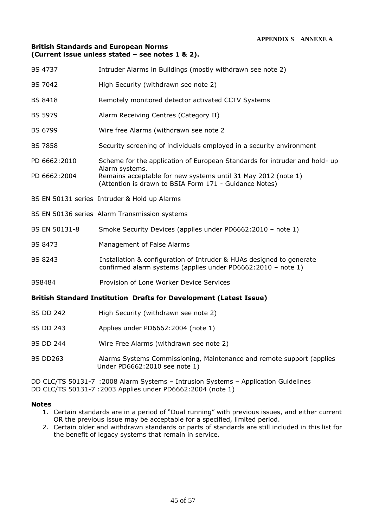# **British Standards and European Norms (Current issue unless stated – see notes 1 & 2).**

| <b>BS 4737</b>                                                            | Intruder Alarms in Buildings (mostly withdrawn see note 2)                                                                           |  |  |  |
|---------------------------------------------------------------------------|--------------------------------------------------------------------------------------------------------------------------------------|--|--|--|
| <b>BS 7042</b>                                                            | High Security (withdrawn see note 2)                                                                                                 |  |  |  |
| <b>BS 8418</b>                                                            | Remotely monitored detector activated CCTV Systems                                                                                   |  |  |  |
| <b>BS 5979</b>                                                            | Alarm Receiving Centres (Category II)                                                                                                |  |  |  |
| <b>BS 6799</b>                                                            | Wire free Alarms (withdrawn see note 2                                                                                               |  |  |  |
| <b>BS 7858</b>                                                            | Security screening of individuals employed in a security environment                                                                 |  |  |  |
| PD 6662:2010                                                              | Scheme for the application of European Standards for intruder and hold- up<br>Alarm systems.                                         |  |  |  |
| PD 6662:2004                                                              | Remains acceptable for new systems until 31 May 2012 (note 1)<br>(Attention is drawn to BSIA Form 171 - Guidance Notes)              |  |  |  |
|                                                                           | BS EN 50131 series Intruder & Hold up Alarms                                                                                         |  |  |  |
|                                                                           | BS EN 50136 series Alarm Transmission systems                                                                                        |  |  |  |
| BS EN 50131-8                                                             | Smoke Security Devices (applies under PD6662:2010 - note 1)                                                                          |  |  |  |
| <b>BS 8473</b>                                                            | Management of False Alarms                                                                                                           |  |  |  |
| <b>BS 8243</b>                                                            | Installation & configuration of Intruder & HUAs designed to generate<br>confirmed alarm systems (applies under PD6662:2010 - note 1) |  |  |  |
| <b>BS8484</b>                                                             | Provision of Lone Worker Device Services                                                                                             |  |  |  |
| <b>British Standard Institution Drafts for Development (Latest Issue)</b> |                                                                                                                                      |  |  |  |
| <b>BS DD 242</b>                                                          | High Security (withdrawn see note 2)                                                                                                 |  |  |  |
| <b>BS DD 243</b>                                                          | Applies under PD6662:2004 (note 1)                                                                                                   |  |  |  |
| <b>BS DD 244</b>                                                          | Wire Free Alarms (withdrawn see note 2)                                                                                              |  |  |  |
| <b>BS DD263</b>                                                           | Alarms Systems Commissioning, Maintenance and remote support (applies<br>Under PD6662:2010 see note 1)                               |  |  |  |

DD CLC/TS 50131-7 :2008 Alarm Systems – Intrusion Systems – Application Guidelines DD CLC/TS 50131-7 :2003 Applies under PD6662:2004 (note 1)

# **Notes**

- 1. Certain standards are in a period of "Dual running" with previous issues, and either current OR the previous issue may be acceptable for a specified, limited period.
- 2. Certain older and withdrawn standards or parts of standards are still included in this list for the benefit of legacy systems that remain in service.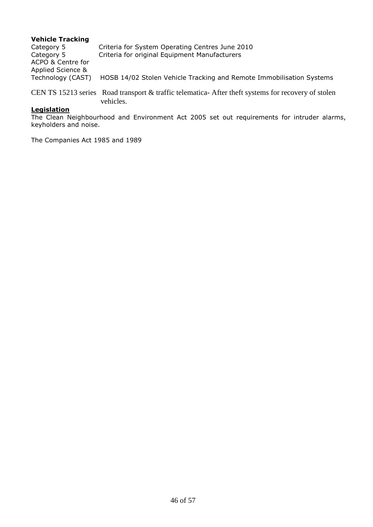# **Vehicle Tracking**

Category 5 Criteria for System Operating Centres June 2010 Category 5 Criteria for original Equipment Manufacturers ACPO & Centre for Applied Science & Technology (CAST) HOSB 14/02 Stolen Vehicle Tracking and Remote Immobilisation Systems

CEN TS 15213 series Road transport & traffic telematica- After theft systems for recovery of stolen vehicles.

# **Legislation**

The Clean Neighbourhood and Environment Act 2005 set out requirements for intruder alarms, keyholders and noise.

The Companies Act 1985 and 1989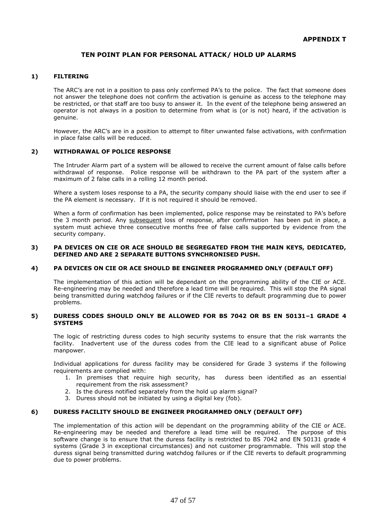# **TEN POINT PLAN FOR PERSONAL ATTACK/ HOLD UP ALARMS**

### **1) FILTERING**

The ARC's are not in a position to pass only confirmed PA's to the police. The fact that someone does not answer the telephone does not confirm the activation is genuine as access to the telephone may be restricted, or that staff are too busy to answer it. In the event of the telephone being answered an operator is not always in a position to determine from what is (or is not) heard, if the activation is genuine.

However, the ARC's are in a position to attempt to filter unwanted false activations, with confirmation in place false calls will be reduced.

### **2) WITHDRAWAL OF POLICE RESPONSE**

The Intruder Alarm part of a system will be allowed to receive the current amount of false calls before withdrawal of response. Police response will be withdrawn to the PA part of the system after a maximum of 2 false calls in a rolling 12 month period.

Where a system loses response to a PA, the security company should liaise with the end user to see if the PA element is necessary. If it is not required it should be removed.

When a form of confirmation has been implemented, police response may be reinstated to PA's before the 3 month period. Any subsequent loss of response, after confirmation has been put in place, a system must achieve three consecutive months free of false calls supported by evidence from the security company.

#### **3) PA DEVICES ON CIE OR ACE SHOULD BE SEGREGATED FROM THE MAIN KEYS, DEDICATED, DEFINED AND ARE 2 SEPARATE BUTTONS SYNCHRONISED PUSH.**

#### **4) PA DEVICES ON CIE OR ACE SHOULD BE ENGINEER PROGRAMMED ONLY (DEFAULT OFF)**

The implementation of this action will be dependant on the programming ability of the CIE or ACE. Re-engineering may be needed and therefore a lead time will be required. This will stop the PA signal being transmitted during watchdog failures or if the CIE reverts to default programming due to power problems.

### **5) DURESS CODES SHOULD ONLY BE ALLOWED FOR BS 7042 OR BS EN 50131–1 GRADE 4 SYSTEMS**

The logic of restricting duress codes to high security systems to ensure that the risk warrants the facility. Inadvertent use of the duress codes from the CIE lead to a significant abuse of Police manpower.

Individual applications for duress facility may be considered for Grade 3 systems if the following requirements are complied with:

- 1. In premises that require high security, has duress been identified as an essential requirement from the risk assessment?
- 2. Is the duress notified separately from the hold up alarm signal?
- 3. Duress should not be initiated by using a digital key (fob).

#### **6) DURESS FACILITY SHOULD BE ENGINEER PROGRAMMED ONLY (DEFAULT OFF)**

The implementation of this action will be dependant on the programming ability of the CIE or ACE. Re-engineering may be needed and therefore a lead time will be required. The purpose of this software change is to ensure that the duress facility is restricted to BS 7042 and EN 50131 grade 4 systems (Grade 3 in exceptional circumstances) and not customer programmable. This will stop the duress signal being transmitted during watchdog failures or if the CIE reverts to default programming due to power problems.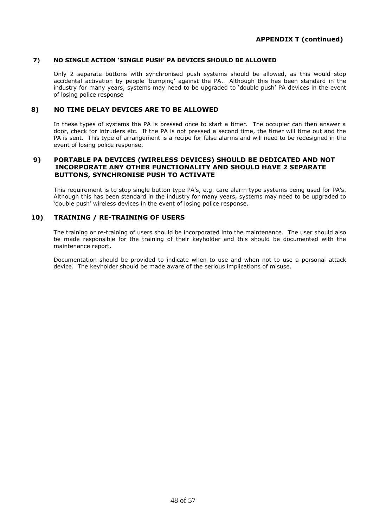# **7) NO SINGLE ACTION 'SINGLE PUSH' PA DEVICES SHOULD BE ALLOWED**

Only 2 separate buttons with synchronised push systems should be allowed, as this would stop accidental activation by people 'bumping' against the PA. Although this has been standard in the industry for many years, systems may need to be upgraded to 'double push' PA devices in the event of losing police response

# **8) NO TIME DELAY DEVICES ARE TO BE ALLOWED**

In these types of systems the PA is pressed once to start a timer. The occupier can then answer a door, check for intruders etc. If the PA is not pressed a second time, the timer will time out and the PA is sent. This type of arrangement is a recipe for false alarms and will need to be redesigned in the event of losing police response.

# **9) PORTABLE PA DEVICES (WIRELESS DEVICES) SHOULD BE DEDICATED AND NOT INCORPORATE ANY OTHER FUNCTIONALITY AND SHOULD HAVE 2 SEPARATE BUTTONS, SYNCHRONISE PUSH TO ACTIVATE**

This requirement is to stop single button type PA's, e.g. care alarm type systems being used for PA's. Although this has been standard in the industry for many years, systems may need to be upgraded to 'double push' wireless devices in the event of losing police response.

# **10) TRAINING / RE-TRAINING OF USERS**

The training or re-training of users should be incorporated into the maintenance. The user should also be made responsible for the training of their keyholder and this should be documented with the maintenance report.

Documentation should be provided to indicate when to use and when not to use a personal attack device. The keyholder should be made aware of the serious implications of misuse.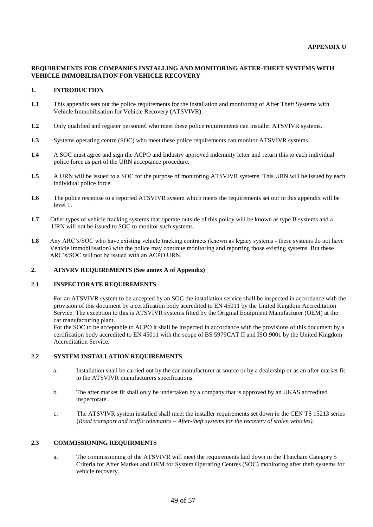# **REQUIREMENTS FOR COMPANIES INSTALLING AND MONITORING AFTER-THEFT SYSTEMS WITH VEHICLE IMMOBILISATION FOR VEHICLE RECOVERY**

### **1. INTRODUCTION**

- **1.1** This appendix sets out the police requirements for the installation and monitoring of After Theft Systems with Vehicle Immobilisation for Vehicle Recovery (ATSVIVR).
- **1.2** Only qualified and register personnel who meet these police requirements can installer ATSVIVR systems.
- **1.3** Systems operating centre (SOC) who meet these police requirements can monitor ATSVIVR systems.
- **1.4** A SOC must agree and sign the ACPO and Industry approved indemnity letter and return this to each individual police force as part of the URN acceptance procedure.
- **1.5** A URN will be issued to a SOC for the purpose of monitoring ATSVIVR systems. This URN will be issued by each individual police force.
- **1.6** The police response to a reported ATSVIVR system which meets the requirements set out in this appendix will be level 1.
- **1.7** Other types of vehicle tracking systems that operate outside of this policy will be known as type B systems and a URN will not be issued to SOC to monitor such systems.
- **1.8** Any ARC's/SOC who have existing vehicle tracking contracts (known as legacy systems these systems do not have Vehicle immobilisation) with the police may continue monitoring and reporting those existing systems. But these ARC's/SOC will not be issued with an ACPO URN.

# **2. AFSVRV REQUIREMENTS (See annex A of Appendix)**

#### **2.1 INSPECTORATE REQUIREMENTS**

For an ATSVIVR system to be accepted by an SOC the installation service shall be inspected in accordance with the provision of this document by a certification body accredited to EN 45011 by the United Kingdom Accreditation Service. The exception to this is ATSVIVR systems fitted by the Original Equipment Manufacturer (OEM) at the car manufacturing plant.

For the SOC to be acceptable to ACPO it shall be inspected in accordance with the provisions of this document by a certification body accredited to EN 45011 with the scope of BS 5979CAT II and ISO 9001 by the United Kingdom Accreditation Service.

### **2.2 SYSTEM INSTALLATION REQUIREMENTS**

- a. Installation shall be carried out by the car manufacturer at source or by a dealership or as an after market fit to the ATSVIVR manufacturers specifications.
- b. The after market fit shall only be undertaken by a company that is approved by an UKAS accredited inspectorate.
- c. The ATSVIVR system installed shall meet the installer requirements set down in the CEN TS 15213 series (*Road transport and traffic telematics – After-theft systems for the recovery of stolen vehicles).*

### **2.3 COMMISSIONING REQUIRMENTS**

a. The commissioning of the ATSVIVR will meet the requirements laid down in the Thatcham Category 5 Criteria for After Market and OEM for System Operating Centres (SOC) monitoring after theft systems for vehicle recovery.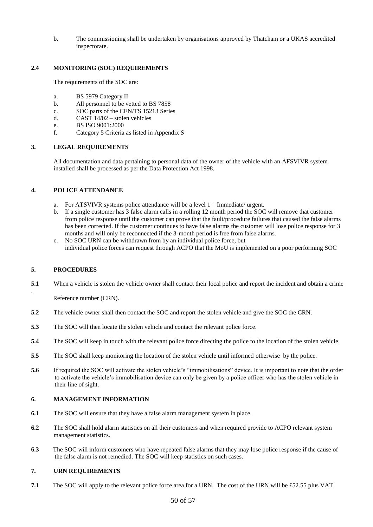b. The commissioning shall be undertaken by organisations approved by Thatcham or a UKAS accredited inspectorate.

# **2.4 MONITORING (SOC) REQUIREMENTS**

The requirements of the SOC are:

- a. BS 5979 Category II
- b. All personnel to be vetted to BS 7858
- c. SOC parts of the CEN/TS 15213 Series
- d. CAST 14/02 stolen vehicles
- e. BS ISO 9001:2000
- f. Category 5 Criteria as listed in Appendix S

### **3. LEGAL REQUIREMENTS**

All documentation and data pertaining to personal data of the owner of the vehicle with an AFSVIVR system installed shall be processed as per the Data Protection Act 1998.

### **4. POLICE ATTENDANCE**

- a. For ATSVIVR systems police attendance will be a level 1 Immediate/ urgent.
- b. If a single customer has 3 false alarm calls in a rolling 12 month period the SOC will remove that customer from police response until the customer can prove that the fault/procedure failures that caused the false alarms has been corrected. If the customer continues to have false alarms the customer will lose police response for 3 months and will only be reconnected if the 3-month period is free from false alarms.
- c. No SOC URN can be withdrawn from by an individual police force, but individual police forces can request through ACPO that the MoU is implemented on a poor performing SOC

# **5. PROCEDURES**

.

**5.1** When a vehicle is stolen the vehicle owner shall contact their local police and report the incident and obtain a crime

Reference number (CRN).

- **5.2** The vehicle owner shall then contact the SOC and report the stolen vehicle and give the SOC the CRN.
- **5.3** The SOC will then locate the stolen vehicle and contact the relevant police force.
- **5.4** The SOC will keep in touch with the relevant police force directing the police to the location of the stolen vehicle.
- **5.5** The SOC shall keep monitoring the location of the stolen vehicle until informed otherwise by the police.
- **5.6** If required the SOC will activate the stolen vehicle's "immobilisations" device. It is important to note that the order to activate the vehicle's immobilisation device can only be given by a police officer who has the stolen vehicle in their line of sight.

### **6. MANAGEMENT INFORMATION**

- **6.1** The SOC will ensure that they have a false alarm management system in place.
- **6.2** The SOC shall hold alarm statistics on all their customers and when required provide to ACPO relevant system management statistics.
- **6.3** The SOC will inform customers who have repeated false alarms that they may lose police response if the cause of the false alarm is not remedied. The SOC will keep statistics on such cases.

# **7. URN REQUIREMENTS**

**7.1** The SOC will apply to the relevant police force area for a URN. The cost of the URN will be £52.55 plus VAT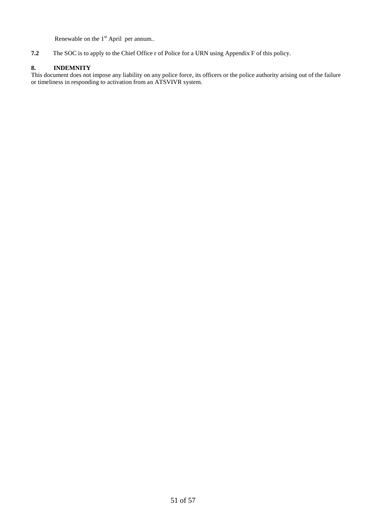Renewable on the 1<sup>st</sup> April per annum..

**7.2** The SOC is to apply to the Chief Office r of Police for a URN using Appendix F of this policy.

# **8. INDEMNITY**

This document does not impose any liability on any police force, its officers or the police authority arising out of the failure or timeliness in responding to activation from an ATSVIVR system.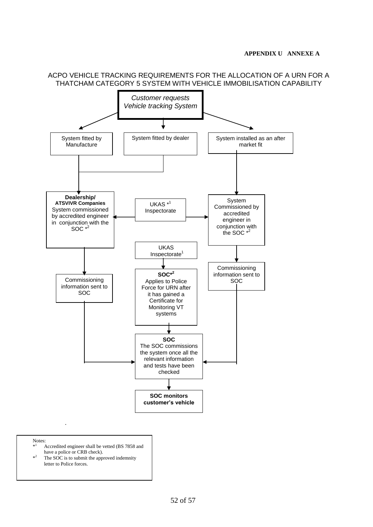

ACPO VEHICLE TRACKING REQUIREMENTS FOR THE ALLOCATION OF A URN FOR A

Notes: \*

- <sup>1</sup> Accredited engineer shall be vetted (BS 7858 and have a police or CRB check).
- $*^2$ The SOC is to submit the approved indemnity letter to Police forces.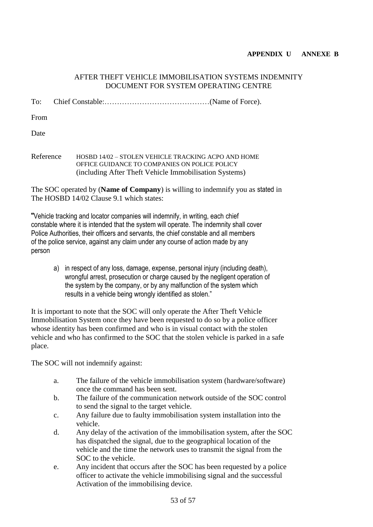# **APPENDIX U ANNEXE B**

# AFTER THEFT VEHICLE IMMOBILISATION SYSTEMS INDEMNITY DOCUMENT FOR SYSTEM OPERATING CENTRE

To: Chief Constable:……………………………………(Name of Force).

From

Date

Reference HOSBD 14/02 – STOLEN VEHICLE TRACKING ACPO AND HOME OFFICE GUIDANCE TO COMPANIES ON POLICE POLICY (including After Theft Vehicle Immobilisation Systems)

The SOC operated by (**Name of Company**) is willing to indemnify you as stated in The HOSBD 14/02 Clause 9.1 which states:

"Vehicle tracking and locator companies will indemnify, in writing, each chief constable where it is intended that the system will operate. The indemnity shall cover Police Authorities, their officers and servants, the chief constable and all members of the police service, against any claim under any course of action made by any person

a) in respect of any loss, damage, expense, personal injury (including death), wrongful arrest, prosecution or charge caused by the negligent operation of the system by the company, or by any malfunction of the system which results in a vehicle being wrongly identified as stolen."

It is important to note that the SOC will only operate the After Theft Vehicle Immobilisation System once they have been requested to do so by a police officer whose identity has been confirmed and who is in visual contact with the stolen vehicle and who has confirmed to the SOC that the stolen vehicle is parked in a safe place.

The SOC will not indemnify against:

- a. The failure of the vehicle immobilisation system (hardware/software) once the command has been sent.
- b. The failure of the communication network outside of the SOC control to send the signal to the target vehicle.
- c. Any failure due to faulty immobilisation system installation into the vehicle.
- d. Any delay of the activation of the immobilisation system, after the SOC has dispatched the signal, due to the geographical location of the vehicle and the time the network uses to transmit the signal from the SOC to the vehicle.
- e. Any incident that occurs after the SOC has been requested by a police officer to activate the vehicle immobilising signal and the successful Activation of the immobilising device.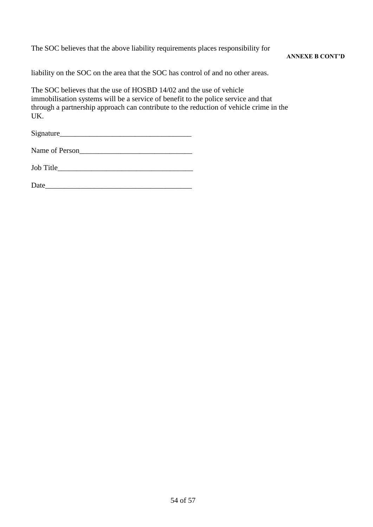The SOC believes that the above liability requirements places responsibility for

# **ANNEXE B CONT'D**

liability on the SOC on the area that the SOC has control of and no other areas.

The SOC believes that the use of HOSBD 14/02 and the use of vehicle immobilisation systems will be a service of benefit to the police service and that through a partnership approach can contribute to the reduction of vehicle crime in the UK.

| Signature |  |
|-----------|--|
|           |  |

Name of Person

Job Title\_\_\_\_\_\_\_\_\_\_\_\_\_\_\_\_\_\_\_\_\_\_\_\_\_\_\_\_\_\_\_\_\_\_\_\_

| Date |  |
|------|--|
|------|--|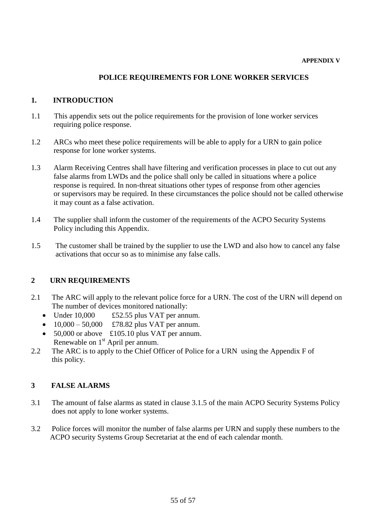# **POLICE REQUIREMENTS FOR LONE WORKER SERVICES**

# **1. INTRODUCTION**

- 1.1 This appendix sets out the police requirements for the provision of lone worker services requiring police response.
- 1.2 ARCs who meet these police requirements will be able to apply for a URN to gain police response for lone worker systems.
- 1.3 Alarm Receiving Centres shall have filtering and verification processes in place to cut out any false alarms from LWDs and the police shall only be called in situations where a police response is required. In non-threat situations other types of response from other agencies or supervisors may be required. In these circumstances the police should not be called otherwise it may count as a false activation.
- 1.4 The supplier shall inform the customer of the requirements of the ACPO Security Systems Policy including this Appendix.
- 1.5 The customer shall be trained by the supplier to use the LWD and also how to cancel any false activations that occur so as to minimise any false calls.

# **2 URN REQUIREMENTS**

- 2.1 The ARC will apply to the relevant police force for a URN. The cost of the URN will depend on The number of devices monitored nationally:
	- Under  $10,000$  £52.55 plus VAT per annum.
	- $10,000 50,000$  £78.82 plus VAT per annum.
	- $\bullet$  50,000 or above £105.10 plus VAT per annum. Renewable on 1<sup>st</sup> April per annum.
- 2.2 The ARC is to apply to the Chief Officer of Police for a URN using the Appendix F of this policy.

# **3 FALSE ALARMS**

- 3.1 The amount of false alarms as stated in clause 3.1.5 of the main ACPO Security Systems Policy does not apply to lone worker systems.
- 3.2 Police forces will monitor the number of false alarms per URN and supply these numbers to the ACPO security Systems Group Secretariat at the end of each calendar month.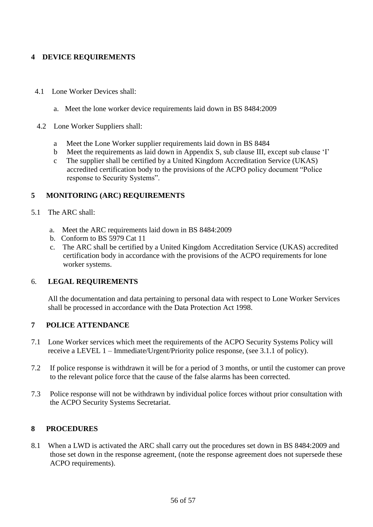# **4 DEVICE REQUIREMENTS**

- 4.1 Lone Worker Devices shall:
	- a. Meet the lone worker device requirements laid down in BS 8484:2009
- 4.2 Lone Worker Suppliers shall:
	- a Meet the Lone Worker supplier requirements laid down in BS 8484
	- b Meet the requirements as laid down in Appendix S, sub clause III, except sub clause 'I'
	- c The supplier shall be certified by a United Kingdom Accreditation Service (UKAS) accredited certification body to the provisions of the ACPO policy document "Police response to Security Systems".

# **5 MONITORING (ARC) REQUIREMENTS**

- 5.1 The ARC shall:
	- a. Meet the ARC requirements laid down in BS 8484:2009
	- b. Conform to BS 5979 Cat 11
	- c. The ARC shall be certified by a United Kingdom Accreditation Service (UKAS) accredited certification body in accordance with the provisions of the ACPO requirements for lone worker systems.

# 6. **LEGAL REQUIREMENTS**

 All the documentation and data pertaining to personal data with respect to Lone Worker Services shall be processed in accordance with the Data Protection Act 1998.

# **7 POLICE ATTENDANCE**

- 7.1 Lone Worker services which meet the requirements of the ACPO Security Systems Policy will receive a LEVEL 1 – Immediate/Urgent/Priority police response, (see 3.1.1 of policy).
- 7.2 If police response is withdrawn it will be for a period of 3 months, or until the customer can prove to the relevant police force that the cause of the false alarms has been corrected.
- 7.3 Police response will not be withdrawn by individual police forces without prior consultation with the ACPO Security Systems Secretariat.

# **8 PROCEDURES**

8.1 When a LWD is activated the ARC shall carry out the procedures set down in BS 8484:2009 and those set down in the response agreement, (note the response agreement does not supersede these ACPO requirements).